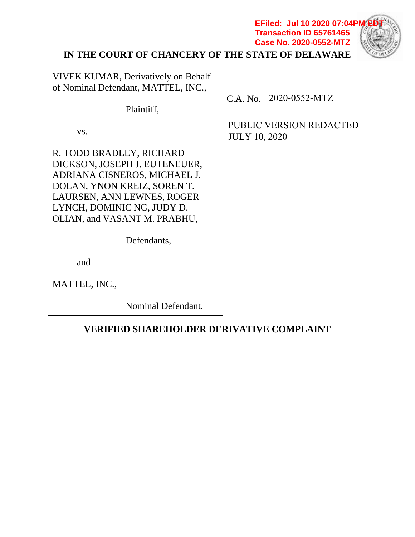# **IN THE COURT OF CHANCERY OF THE STATE OF DELAWARE**



**Transaction ID 65761465 Case No. 2020-0552-MTZ**

| <b>VIVEK KUMAR, Derivatively on Behalf</b><br>of Nominal Defendant, MATTEL, INC.,                                                                                                                                    |                                                        |
|----------------------------------------------------------------------------------------------------------------------------------------------------------------------------------------------------------------------|--------------------------------------------------------|
|                                                                                                                                                                                                                      | $C.A. No. 2020-0552-MTZ$                               |
| Plaintiff,                                                                                                                                                                                                           |                                                        |
| VS.                                                                                                                                                                                                                  | <b>PUBLIC VERSION REDACTED</b><br><b>JULY 10, 2020</b> |
| R. TODD BRADLEY, RICHARD<br>DICKSON, JOSEPH J. EUTENEUER,<br>ADRIANA CISNEROS, MICHAEL J.<br>DOLAN, YNON KREIZ, SOREN T.<br>LAURSEN, ANN LEWNES, ROGER<br>LYNCH, DOMINIC NG, JUDY D.<br>OLIAN, and VASANT M. PRABHU, |                                                        |
| Defendants,                                                                                                                                                                                                          |                                                        |
| and                                                                                                                                                                                                                  |                                                        |
| MATTEL, INC.,                                                                                                                                                                                                        |                                                        |
| Nominal Defendant.                                                                                                                                                                                                   |                                                        |

# **VERIFIED SHAREHOLDER DERIVATIVE COMPLAINT**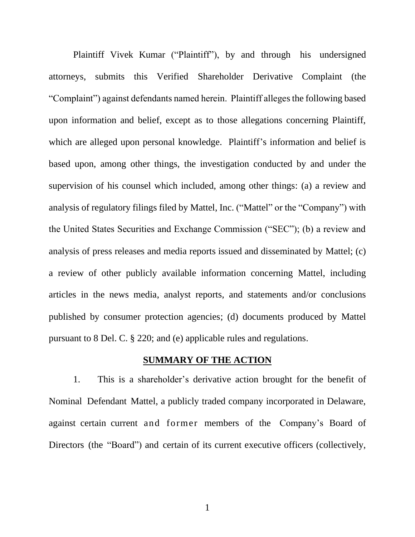Plaintiff Vivek Kumar ("Plaintiff"), by and through his undersigned attorneys, submits this Verified Shareholder Derivative Complaint (the "Complaint") against defendants named herein. Plaintiff alleges the following based upon information and belief, except as to those allegations concerning Plaintiff, which are alleged upon personal knowledge. Plaintiff's information and belief is based upon, among other things, the investigation conducted by and under the supervision of his counsel which included, among other things: (a) a review and analysis of regulatory filings filed by Mattel, Inc. ("Mattel" or the "Company") with the United States Securities and Exchange Commission ("SEC"); (b) a review and analysis of press releases and media reports issued and disseminated by Mattel; (c) a review of other publicly available information concerning Mattel, including articles in the news media, analyst reports, and statements and/or conclusions published by consumer protection agencies; (d) documents produced by Mattel pursuant to 8 Del. C. § 220; and (e) applicable rules and regulations.

### **SUMMARY OF THE ACTION**

1. This is a shareholder's derivative action brought for the benefit of Nominal Defendant Mattel, a publicly traded company incorporated in Delaware, against certain current and former members of the Company's Board of Directors (the "Board") and certain of its current executive officers (collectively,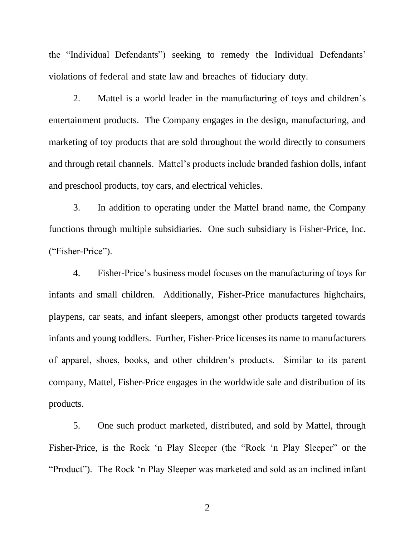the "Individual Defendants") seeking to remedy the Individual Defendants' violations of federal and state law and breaches of fiduciary duty.

2. Mattel is a world leader in the manufacturing of toys and children's entertainment products. The Company engages in the design, manufacturing, and marketing of toy products that are sold throughout the world directly to consumers and through retail channels. Mattel's products include branded fashion dolls, infant and preschool products, toy cars, and electrical vehicles.

3. In addition to operating under the Mattel brand name, the Company functions through multiple subsidiaries. One such subsidiary is Fisher-Price, Inc. ("Fisher-Price").

4. Fisher-Price's business model focuses on the manufacturing of toys for infants and small children. Additionally, Fisher-Price manufactures highchairs, playpens, car seats, and infant sleepers, amongst other products targeted towards infants and young toddlers. Further, Fisher-Price licenses its name to manufacturers of apparel, shoes, books, and other children's products. Similar to its parent company, Mattel, Fisher-Price engages in the worldwide sale and distribution of its products.

5. One such product marketed, distributed, and sold by Mattel, through Fisher-Price, is the Rock 'n Play Sleeper (the "Rock 'n Play Sleeper" or the "Product"). The Rock 'n Play Sleeper was marketed and sold as an inclined infant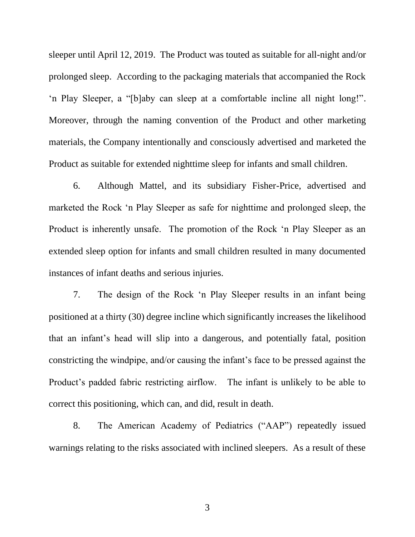sleeper until April 12, 2019. The Product was touted as suitable for all-night and/or prolonged sleep. According to the packaging materials that accompanied the Rock 'n Play Sleeper, a "[b]aby can sleep at a comfortable incline all night long!". Moreover, through the naming convention of the Product and other marketing materials, the Company intentionally and consciously advertised and marketed the Product as suitable for extended nighttime sleep for infants and small children.

6. Although Mattel, and its subsidiary Fisher-Price, advertised and marketed the Rock 'n Play Sleeper as safe for nighttime and prolonged sleep, the Product is inherently unsafe. The promotion of the Rock 'n Play Sleeper as an extended sleep option for infants and small children resulted in many documented instances of infant deaths and serious injuries.

7. The design of the Rock 'n Play Sleeper results in an infant being positioned at a thirty (30) degree incline which significantly increases the likelihood that an infant's head will slip into a dangerous, and potentially fatal, position constricting the windpipe, and/or causing the infant's face to be pressed against the Product's padded fabric restricting airflow. The infant is unlikely to be able to correct this positioning, which can, and did, result in death.

8. The American Academy of Pediatrics ("AAP") repeatedly issued warnings relating to the risks associated with inclined sleepers. As a result of these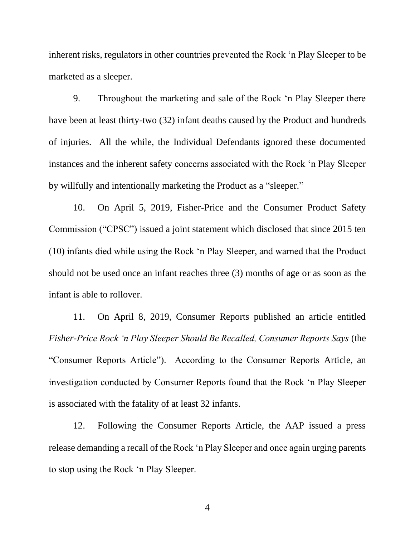inherent risks, regulators in other countries prevented the Rock 'n Play Sleeper to be marketed as a sleeper.

9. Throughout the marketing and sale of the Rock 'n Play Sleeper there have been at least thirty-two (32) infant deaths caused by the Product and hundreds of injuries. All the while, the Individual Defendants ignored these documented instances and the inherent safety concerns associated with the Rock 'n Play Sleeper by willfully and intentionally marketing the Product as a "sleeper."

10. On April 5, 2019, Fisher-Price and the Consumer Product Safety Commission ("CPSC") issued a joint statement which disclosed that since 2015 ten (10) infants died while using the Rock 'n Play Sleeper, and warned that the Product should not be used once an infant reaches three (3) months of age or as soon as the infant is able to rollover.

11. On April 8, 2019, Consumer Reports published an article entitled *Fisher-Price Rock 'n Play Sleeper Should Be Recalled, Consumer Reports Says* (the "Consumer Reports Article"). According to the Consumer Reports Article, an investigation conducted by Consumer Reports found that the Rock 'n Play Sleeper is associated with the fatality of at least 32 infants.

12. Following the Consumer Reports Article, the AAP issued a press release demanding a recall of the Rock 'n Play Sleeper and once again urging parents to stop using the Rock 'n Play Sleeper.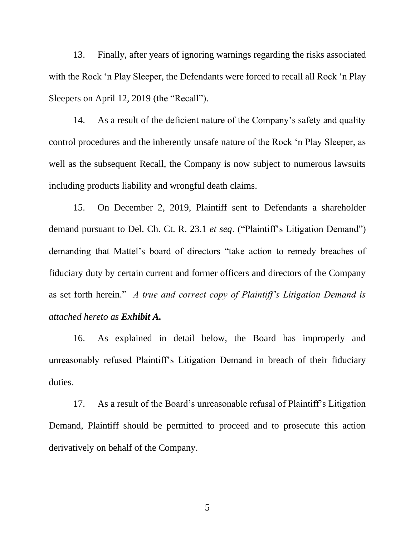13. Finally, after years of ignoring warnings regarding the risks associated with the Rock 'n Play Sleeper, the Defendants were forced to recall all Rock 'n Play Sleepers on April 12, 2019 (the "Recall").

14. As a result of the deficient nature of the Company's safety and quality control procedures and the inherently unsafe nature of the Rock 'n Play Sleeper, as well as the subsequent Recall, the Company is now subject to numerous lawsuits including products liability and wrongful death claims.

15. On December 2, 2019, Plaintiff sent to Defendants a shareholder demand pursuant to Del. Ch. Ct. R. 23.1 *et seq*. ("Plaintiff's Litigation Demand") demanding that Mattel's board of directors "take action to remedy breaches of fiduciary duty by certain current and former officers and directors of the Company as set forth herein." *A true and correct copy of Plaintiff's Litigation Demand is attached hereto as Exhibit A.*

16. As explained in detail below, the Board has improperly and unreasonably refused Plaintiff's Litigation Demand in breach of their fiduciary duties.

17. As a result of the Board's unreasonable refusal of Plaintiff's Litigation Demand, Plaintiff should be permitted to proceed and to prosecute this action derivatively on behalf of the Company.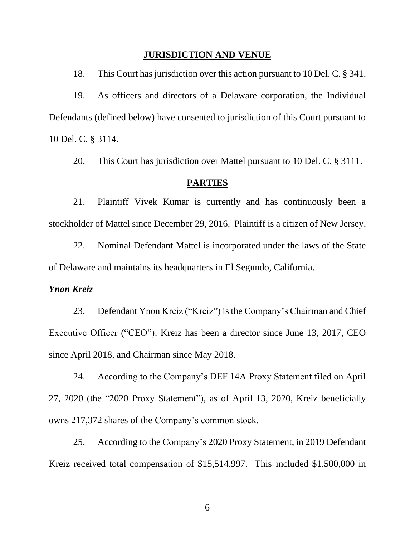### **JURISDICTION AND VENUE**

18. This Court has jurisdiction over this action pursuant to 10 Del. C. § 341.

19. As officers and directors of a Delaware corporation, the Individual Defendants (defined below) have consented to jurisdiction of this Court pursuant to 10 Del. C. § 3114.

20. This Court has jurisdiction over Mattel pursuant to 10 Del. C. § 3111.

### **PARTIES**

21. Plaintiff Vivek Kumar is currently and has continuously been a stockholder of Mattel since December 29, 2016. Plaintiff is a citizen of New Jersey.

22. Nominal Defendant Mattel is incorporated under the laws of the State of Delaware and maintains its headquarters in El Segundo, California.

### *Ynon Kreiz*

23. Defendant Ynon Kreiz ("Kreiz") is the Company's Chairman and Chief Executive Officer ("CEO"). Kreiz has been a director since June 13, 2017, CEO since April 2018, and Chairman since May 2018.

24. According to the Company's DEF 14A Proxy Statement filed on April 27, 2020 (the "2020 Proxy Statement"), as of April 13, 2020, Kreiz beneficially owns 217,372 shares of the Company's common stock.

25. According to the Company's 2020 Proxy Statement, in 2019 Defendant Kreiz received total compensation of \$15,514,997. This included \$1,500,000 in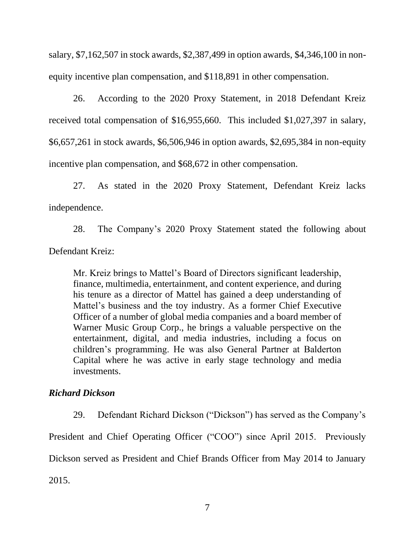salary, \$7,162,507 in stock awards, \$2,387,499 in option awards, \$4,346,100 in nonequity incentive plan compensation, and \$118,891 in other compensation.

26. According to the 2020 Proxy Statement, in 2018 Defendant Kreiz received total compensation of \$16,955,660. This included \$1,027,397 in salary, \$6,657,261 in stock awards, \$6,506,946 in option awards, \$2,695,384 in non-equity incentive plan compensation, and \$68,672 in other compensation.

27. As stated in the 2020 Proxy Statement, Defendant Kreiz lacks independence.

28. The Company's 2020 Proxy Statement stated the following about Defendant Kreiz:

Mr. Kreiz brings to Mattel's Board of Directors significant leadership, finance, multimedia, entertainment, and content experience, and during his tenure as a director of Mattel has gained a deep understanding of Mattel's business and the toy industry. As a former Chief Executive Officer of a number of global media companies and a board member of Warner Music Group Corp., he brings a valuable perspective on the entertainment, digital, and media industries, including a focus on children's programming. He was also General Partner at Balderton Capital where he was active in early stage technology and media investments.

## *Richard Dickson*

29. Defendant Richard Dickson ("Dickson") has served as the Company's

President and Chief Operating Officer ("COO") since April 2015. Previously

Dickson served as President and Chief Brands Officer from May 2014 to January

2015.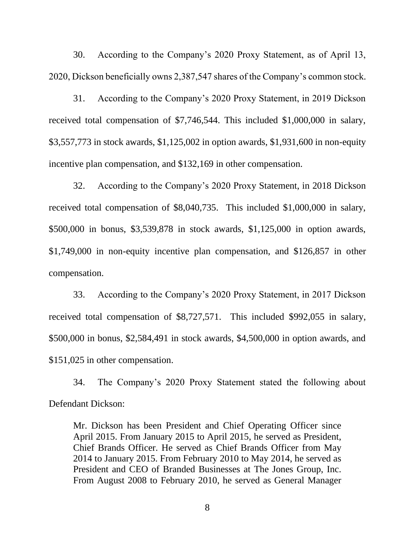30. According to the Company's 2020 Proxy Statement, as of April 13, 2020, Dickson beneficially owns 2,387,547 shares of the Company's common stock.

31. According to the Company's 2020 Proxy Statement, in 2019 Dickson received total compensation of \$7,746,544. This included \$1,000,000 in salary, \$3,557,773 in stock awards, \$1,125,002 in option awards, \$1,931,600 in non-equity incentive plan compensation, and \$132,169 in other compensation.

32. According to the Company's 2020 Proxy Statement, in 2018 Dickson received total compensation of \$8,040,735. This included \$1,000,000 in salary, \$500,000 in bonus, \$3,539,878 in stock awards, \$1,125,000 in option awards, \$1,749,000 in non-equity incentive plan compensation, and \$126,857 in other compensation.

33. According to the Company's 2020 Proxy Statement, in 2017 Dickson received total compensation of \$8,727,571. This included \$992,055 in salary, \$500,000 in bonus, \$2,584,491 in stock awards, \$4,500,000 in option awards, and \$151,025 in other compensation.

34. The Company's 2020 Proxy Statement stated the following about Defendant Dickson:

Mr. Dickson has been President and Chief Operating Officer since April 2015. From January 2015 to April 2015, he served as President, Chief Brands Officer. He served as Chief Brands Officer from May 2014 to January 2015. From February 2010 to May 2014, he served as President and CEO of Branded Businesses at The Jones Group, Inc. From August 2008 to February 2010, he served as General Manager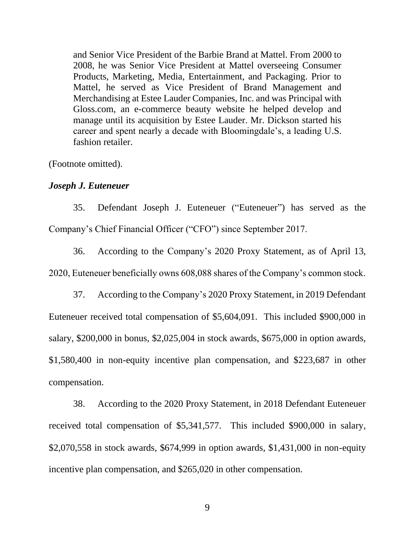and Senior Vice President of the Barbie Brand at Mattel. From 2000 to 2008, he was Senior Vice President at Mattel overseeing Consumer Products, Marketing, Media, Entertainment, and Packaging. Prior to Mattel, he served as Vice President of Brand Management and Merchandising at Estee Lauder Companies, Inc. and was Principal with Gloss.com, an e-commerce beauty website he helped develop and manage until its acquisition by Estee Lauder. Mr. Dickson started his career and spent nearly a decade with Bloomingdale's, a leading U.S. fashion retailer.

(Footnote omitted).

#### *Joseph J. Euteneuer*

35. Defendant Joseph J. Euteneuer ("Euteneuer") has served as the Company's Chief Financial Officer ("CFO") since September 2017.

36. According to the Company's 2020 Proxy Statement, as of April 13, 2020, Euteneuer beneficially owns 608,088 shares of the Company's common stock.

37. According to the Company's 2020 Proxy Statement, in 2019 Defendant Euteneuer received total compensation of \$5,604,091. This included \$900,000 in salary, \$200,000 in bonus, \$2,025,004 in stock awards, \$675,000 in option awards, \$1,580,400 in non-equity incentive plan compensation, and \$223,687 in other compensation.

38. According to the 2020 Proxy Statement, in 2018 Defendant Euteneuer received total compensation of \$5,341,577. This included \$900,000 in salary, \$2,070,558 in stock awards, \$674,999 in option awards, \$1,431,000 in non-equity incentive plan compensation, and \$265,020 in other compensation.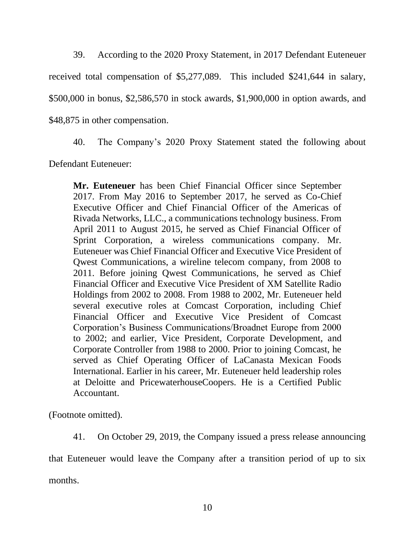39. According to the 2020 Proxy Statement, in 2017 Defendant Euteneuer received total compensation of \$5,277,089. This included \$241,644 in salary, \$500,000 in bonus, \$2,586,570 in stock awards, \$1,900,000 in option awards, and \$48,875 in other compensation.

40. The Company's 2020 Proxy Statement stated the following about

Defendant Euteneuer:

**Mr. Euteneuer** has been Chief Financial Officer since September 2017. From May 2016 to September 2017, he served as Co-Chief Executive Officer and Chief Financial Officer of the Americas of Rivada Networks, LLC., a communications technology business. From April 2011 to August 2015, he served as Chief Financial Officer of Sprint Corporation, a wireless communications company. Mr. Euteneuer was Chief Financial Officer and Executive Vice President of Qwest Communications, a wireline telecom company, from 2008 to 2011. Before joining Qwest Communications, he served as Chief Financial Officer and Executive Vice President of XM Satellite Radio Holdings from 2002 to 2008. From 1988 to 2002, Mr. Euteneuer held several executive roles at Comcast Corporation, including Chief Financial Officer and Executive Vice President of Comcast Corporation's Business Communications/Broadnet Europe from 2000 to 2002; and earlier, Vice President, Corporate Development, and Corporate Controller from 1988 to 2000. Prior to joining Comcast, he served as Chief Operating Officer of LaCanasta Mexican Foods International. Earlier in his career, Mr. Euteneuer held leadership roles at Deloitte and PricewaterhouseCoopers. He is a Certified Public Accountant.

(Footnote omitted).

41. On October 29, 2019, the Company issued a press release announcing

that Euteneuer would leave the Company after a transition period of up to six months.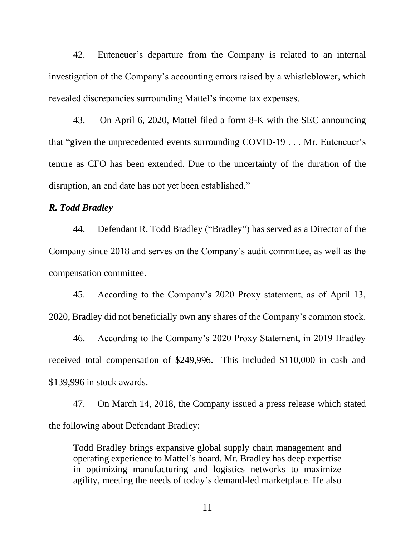42. Euteneuer's departure from the Company is related to an internal investigation of the Company's accounting errors raised by a whistleblower, which revealed discrepancies surrounding Mattel's income tax expenses.

43. On April 6, 2020, Mattel filed a form 8-K with the SEC announcing that "given the unprecedented events surrounding COVID-19 . . . Mr. Euteneuer's tenure as CFO has been extended. Due to the uncertainty of the duration of the disruption, an end date has not yet been established."

### *R. Todd Bradley*

44. Defendant R. Todd Bradley ("Bradley") has served as a Director of the Company since 2018 and serves on the Company's audit committee, as well as the compensation committee.

45. According to the Company's 2020 Proxy statement, as of April 13, 2020, Bradley did not beneficially own any shares of the Company's common stock.

46. According to the Company's 2020 Proxy Statement, in 2019 Bradley received total compensation of \$249,996. This included \$110,000 in cash and \$139,996 in stock awards.

47. On March 14, 2018, the Company issued a press release which stated the following about Defendant Bradley:

Todd Bradley brings expansive global supply chain management and operating experience to Mattel's board. Mr. Bradley has deep expertise in optimizing manufacturing and logistics networks to maximize agility, meeting the needs of today's demand-led marketplace. He also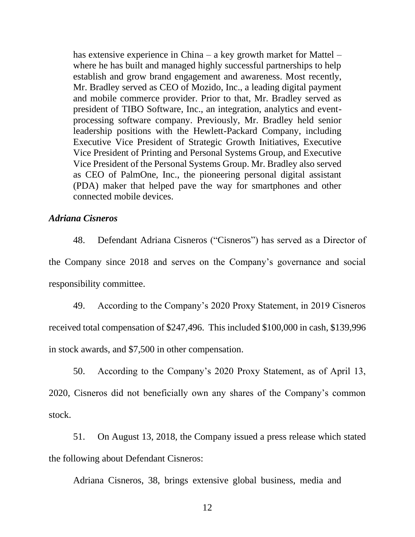has extensive experience in China – a key growth market for Mattel – where he has built and managed highly successful partnerships to help establish and grow brand engagement and awareness. Most recently, Mr. Bradley served as CEO of Mozido, Inc., a leading digital payment and mobile commerce provider. Prior to that, Mr. Bradley served as president of TIBO Software, Inc., an integration, analytics and eventprocessing software company. Previously, Mr. Bradley held senior leadership positions with the Hewlett-Packard Company, including Executive Vice President of Strategic Growth Initiatives, Executive Vice President of Printing and Personal Systems Group, and Executive Vice President of the Personal Systems Group. Mr. Bradley also served as CEO of PalmOne, Inc., the pioneering personal digital assistant (PDA) maker that helped pave the way for smartphones and other connected mobile devices.

### *Adriana Cisneros*

48. Defendant Adriana Cisneros ("Cisneros") has served as a Director of the Company since 2018 and serves on the Company's governance and social responsibility committee.

49. According to the Company's 2020 Proxy Statement, in 2019 Cisneros received total compensation of \$247,496. This included \$100,000 in cash, \$139,996 in stock awards, and \$7,500 in other compensation.

50. According to the Company's 2020 Proxy Statement, as of April 13, 2020, Cisneros did not beneficially own any shares of the Company's common stock.

51. On August 13, 2018, the Company issued a press release which stated the following about Defendant Cisneros:

Adriana Cisneros, 38, brings extensive global business, media and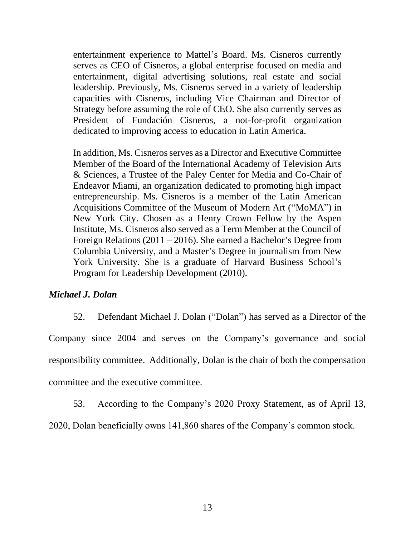entertainment experience to Mattel's Board. Ms. Cisneros currently serves as CEO of Cisneros, a global enterprise focused on media and entertainment, digital advertising solutions, real estate and social leadership. Previously, Ms. Cisneros served in a variety of leadership capacities with Cisneros, including Vice Chairman and Director of Strategy before assuming the role of CEO. She also currently serves as President of Fundación Cisneros, a not-for-profit organization dedicated to improving access to education in Latin America.

In addition, Ms. Cisneros serves as a Director and Executive Committee Member of the Board of the International Academy of Television Arts & Sciences, a Trustee of the Paley Center for Media and Co-Chair of Endeavor Miami, an organization dedicated to promoting high impact entrepreneurship. Ms. Cisneros is a member of the Latin American Acquisitions Committee of the Museum of Modern Art ("MoMA") in New York City. Chosen as a Henry Crown Fellow by the Aspen Institute, Ms. Cisneros also served as a Term Member at the Council of Foreign Relations (2011 – 2016). She earned a Bachelor's Degree from Columbia University, and a Master's Degree in journalism from New York University. She is a graduate of Harvard Business School's Program for Leadership Development (2010).

### *Michael J. Dolan*

52. Defendant Michael J. Dolan ("Dolan") has served as a Director of the Company since 2004 and serves on the Company's governance and social responsibility committee. Additionally, Dolan is the chair of both the compensation committee and the executive committee.

53. According to the Company's 2020 Proxy Statement, as of April 13,

2020, Dolan beneficially owns 141,860 shares of the Company's common stock.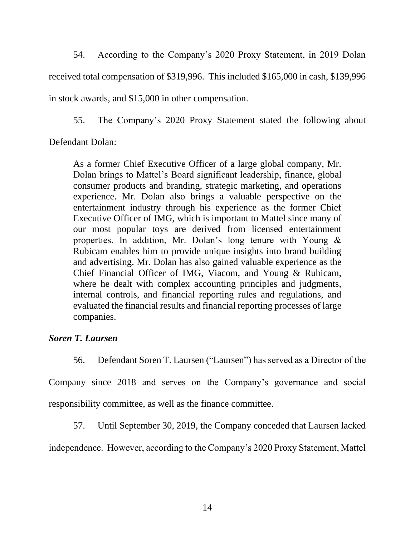54. According to the Company's 2020 Proxy Statement, in 2019 Dolan received total compensation of \$319,996. This included \$165,000 in cash, \$139,996 in stock awards, and \$15,000 in other compensation.

55. The Company's 2020 Proxy Statement stated the following about

Defendant Dolan:

As a former Chief Executive Officer of a large global company, Mr. Dolan brings to Mattel's Board significant leadership, finance, global consumer products and branding, strategic marketing, and operations experience. Mr. Dolan also brings a valuable perspective on the entertainment industry through his experience as the former Chief Executive Officer of IMG, which is important to Mattel since many of our most popular toys are derived from licensed entertainment properties. In addition, Mr. Dolan's long tenure with Young & Rubicam enables him to provide unique insights into brand building and advertising. Mr. Dolan has also gained valuable experience as the Chief Financial Officer of IMG, Viacom, and Young & Rubicam, where he dealt with complex accounting principles and judgments, internal controls, and financial reporting rules and regulations, and evaluated the financial results and financial reporting processes of large companies.

## *Soren T. Laursen*

56. Defendant Soren T. Laursen ("Laursen") has served as a Director of the

Company since 2018 and serves on the Company's governance and social responsibility committee, as well as the finance committee.

57. Until September 30, 2019, the Company conceded that Laursen lacked

independence. However, according to the Company's 2020 Proxy Statement, Mattel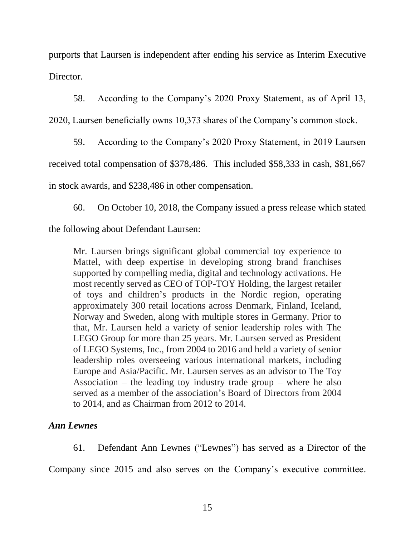purports that Laursen is independent after ending his service as Interim Executive Director.

58. According to the Company's 2020 Proxy Statement, as of April 13,

2020, Laursen beneficially owns 10,373 shares of the Company's common stock.

59. According to the Company's 2020 Proxy Statement, in 2019 Laursen received total compensation of \$378,486. This included \$58,333 in cash, \$81,667 in stock awards, and \$238,486 in other compensation.

60. On October 10, 2018, the Company issued a press release which stated

the following about Defendant Laursen:

Mr. Laursen brings significant global commercial toy experience to Mattel, with deep expertise in developing strong brand franchises supported by compelling media, digital and technology activations. He most recently served as CEO of TOP-TOY Holding, the largest retailer of toys and children's products in the Nordic region, operating approximately 300 retail locations across Denmark, Finland, Iceland, Norway and Sweden, along with multiple stores in Germany. Prior to that, Mr. Laursen held a variety of senior leadership roles with The LEGO Group for more than 25 years. Mr. Laursen served as President of LEGO Systems, Inc., from 2004 to 2016 and held a variety of senior leadership roles overseeing various international markets, including Europe and Asia/Pacific. Mr. Laursen serves as an advisor to The Toy Association – the leading toy industry trade group – where he also served as a member of the association's Board of Directors from 2004 to 2014, and as Chairman from 2012 to 2014.

# *Ann Lewnes*

61. Defendant Ann Lewnes ("Lewnes") has served as a Director of the

Company since 2015 and also serves on the Company's executive committee.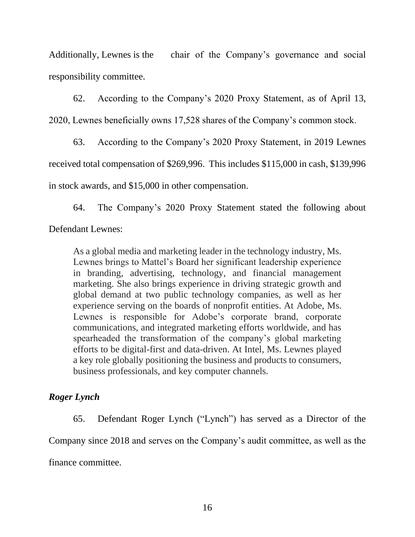Additionally, Lewnes is the chair of the Company's governance and social responsibility committee.

62. According to the Company's 2020 Proxy Statement, as of April 13,

2020, Lewnes beneficially owns 17,528 shares of the Company's common stock.

63. According to the Company's 2020 Proxy Statement, in 2019 Lewnes received total compensation of \$269,996. This includes \$115,000 in cash, \$139,996 in stock awards, and \$15,000 in other compensation.

64. The Company's 2020 Proxy Statement stated the following about Defendant Lewnes:

As a global media and marketing leader in the technology industry, Ms. Lewnes brings to Mattel's Board her significant leadership experience in branding, advertising, technology, and financial management marketing. She also brings experience in driving strategic growth and global demand at two public technology companies, as well as her experience serving on the boards of nonprofit entities. At Adobe, Ms. Lewnes is responsible for Adobe's corporate brand, corporate communications, and integrated marketing efforts worldwide, and has spearheaded the transformation of the company's global marketing efforts to be digital-first and data-driven. At Intel, Ms. Lewnes played a key role globally positioning the business and products to consumers, business professionals, and key computer channels.

# *Roger Lynch*

65. Defendant Roger Lynch ("Lynch") has served as a Director of the

Company since 2018 and serves on the Company's audit committee, as well as the

finance committee.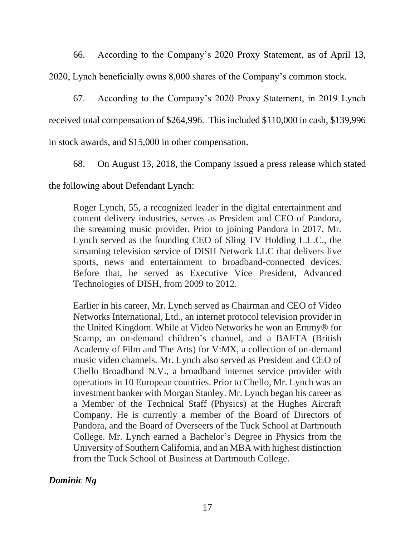66. According to the Company's 2020 Proxy Statement, as of April 13,

2020, Lynch beneficially owns 8,000 shares of the Company's common stock.

67. According to the Company's 2020 Proxy Statement, in 2019 Lynch received total compensation of \$264,996. This included \$110,000 in cash, \$139,996 in stock awards, and \$15,000 in other compensation.

68. On August 13, 2018, the Company issued a press release which stated

the following about Defendant Lynch:

Roger Lynch, 55, a recognized leader in the digital entertainment and content delivery industries, serves as President and CEO of Pandora, the streaming music provider. Prior to joining Pandora in 2017, Mr. Lynch served as the founding CEO of Sling TV Holding L.L.C., the streaming television service of DISH Network LLC that delivers live sports, news and entertainment to broadband-connected devices. Before that, he served as Executive Vice President, Advanced Technologies of DISH, from 2009 to 2012.

Earlier in his career, Mr. Lynch served as Chairman and CEO of Video Networks International, Ltd., an internet protocol television provider in the United Kingdom. While at Video Networks he won an Emmy® for Scamp, an on-demand children's channel, and a BAFTA (British Academy of Film and The Arts) for V:MX, a collection of on-demand music video channels. Mr. Lynch also served as President and CEO of Chello Broadband N.V., a broadband internet service provider with operations in 10 European countries. Prior to Chello, Mr. Lynch was an investment banker with Morgan Stanley. Mr. Lynch began his career as a Member of the Technical Staff (Physics) at the Hughes Aircraft Company. He is currently a member of the Board of Directors of Pandora, and the Board of Overseers of the Tuck School at Dartmouth College. Mr. Lynch earned a Bachelor's Degree in Physics from the University of Southern California, and an MBA with highest distinction from the Tuck School of Business at Dartmouth College.

*Dominic Ng*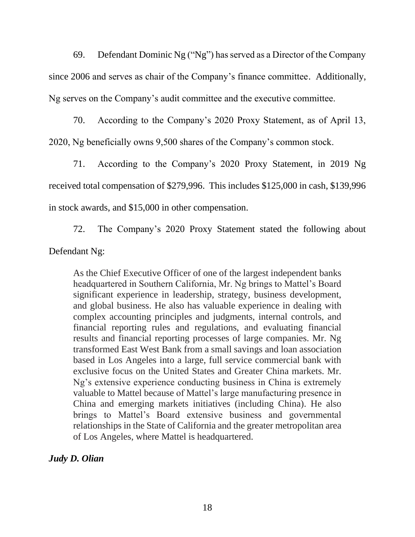69. Defendant Dominic Ng ("Ng") has served as a Director of the Company since 2006 and serves as chair of the Company's finance committee. Additionally, Ng serves on the Company's audit committee and the executive committee.

70. According to the Company's 2020 Proxy Statement, as of April 13, 2020, Ng beneficially owns 9,500 shares of the Company's common stock.

71. According to the Company's 2020 Proxy Statement, in 2019 Ng received total compensation of \$279,996. This includes \$125,000 in cash, \$139,996 in stock awards, and \$15,000 in other compensation.

72. The Company's 2020 Proxy Statement stated the following about

Defendant Ng:

As the Chief Executive Officer of one of the largest independent banks headquartered in Southern California, Mr. Ng brings to Mattel's Board significant experience in leadership, strategy, business development, and global business. He also has valuable experience in dealing with complex accounting principles and judgments, internal controls, and financial reporting rules and regulations, and evaluating financial results and financial reporting processes of large companies. Mr. Ng transformed East West Bank from a small savings and loan association based in Los Angeles into a large, full service commercial bank with exclusive focus on the United States and Greater China markets. Mr. Ng's extensive experience conducting business in China is extremely valuable to Mattel because of Mattel's large manufacturing presence in China and emerging markets initiatives (including China). He also brings to Mattel's Board extensive business and governmental relationships in the State of California and the greater metropolitan area of Los Angeles, where Mattel is headquartered.

*Judy D. Olian*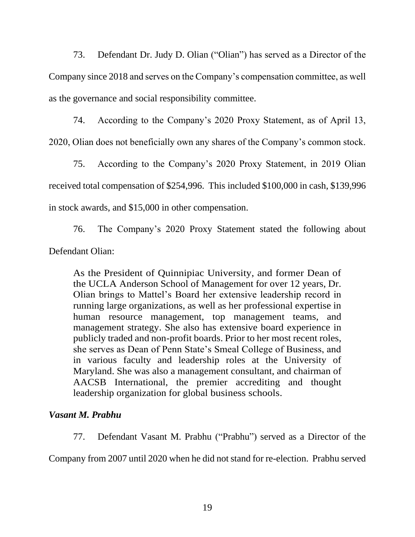73. Defendant Dr. Judy D. Olian ("Olian") has served as a Director of the Company since 2018 and serves on the Company's compensation committee, as well as the governance and social responsibility committee.

74. According to the Company's 2020 Proxy Statement, as of April 13, 2020, Olian does not beneficially own any shares of the Company's common stock.

75. According to the Company's 2020 Proxy Statement, in 2019 Olian received total compensation of \$254,996. This included \$100,000 in cash, \$139,996 in stock awards, and \$15,000 in other compensation.

76. The Company's 2020 Proxy Statement stated the following about Defendant Olian:

As the President of Quinnipiac University, and former Dean of the UCLA Anderson School of Management for over 12 years, Dr. Olian brings to Mattel's Board her extensive leadership record in running large organizations, as well as her professional expertise in human resource management, top management teams, and management strategy. She also has extensive board experience in publicly traded and non-profit boards. Prior to her most recent roles, she serves as Dean of Penn State's Smeal College of Business, and in various faculty and leadership roles at the University of Maryland. She was also a management consultant, and chairman of AACSB International, the premier accrediting and thought leadership organization for global business schools.

# *Vasant M. Prabhu*

77. Defendant Vasant M. Prabhu ("Prabhu") served as a Director of the

Company from 2007 until 2020 when he did not stand for re-election. Prabhu served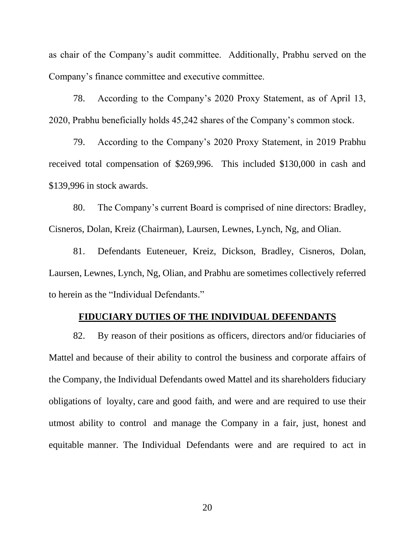as chair of the Company's audit committee. Additionally, Prabhu served on the Company's finance committee and executive committee.

78. According to the Company's 2020 Proxy Statement, as of April 13, 2020, Prabhu beneficially holds 45,242 shares of the Company's common stock.

79. According to the Company's 2020 Proxy Statement, in 2019 Prabhu received total compensation of \$269,996. This included \$130,000 in cash and \$139,996 in stock awards.

80. The Company's current Board is comprised of nine directors: Bradley, Cisneros, Dolan, Kreiz (Chairman), Laursen, Lewnes, Lynch, Ng, and Olian.

81. Defendants Euteneuer, Kreiz, Dickson, Bradley, Cisneros, Dolan, Laursen, Lewnes, Lynch, Ng, Olian, and Prabhu are sometimes collectively referred to herein as the "Individual Defendants."

### **FIDUCIARY DUTIES OF THE INDIVIDUAL DEFENDANTS**

82. By reason of their positions as officers, directors and/or fiduciaries of Mattel and because of their ability to control the business and corporate affairs of the Company, the Individual Defendants owed Mattel and its shareholders fiduciary obligations of loyalty, care and good faith, and were and are required to use their utmost ability to control and manage the Company in a fair, just, honest and equitable manner. The Individual Defendants were and are required to act in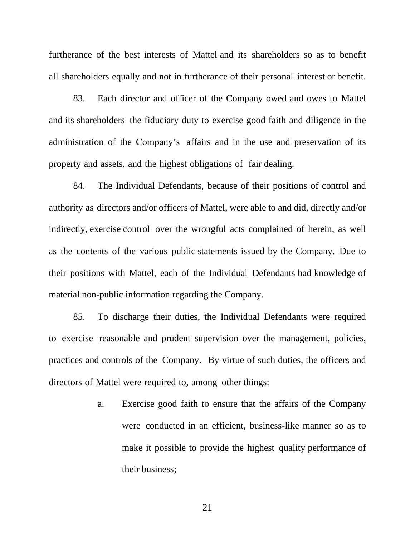furtherance of the best interests of Mattel and its shareholders so as to benefit all shareholders equally and not in furtherance of their personal interest or benefit.

83. Each director and officer of the Company owed and owes to Mattel and its shareholders the fiduciary duty to exercise good faith and diligence in the administration of the Company's affairs and in the use and preservation of its property and assets, and the highest obligations of fair dealing.

84. The Individual Defendants, because of their positions of control and authority as directors and/or officers of Mattel, were able to and did, directly and/or indirectly, exercise control over the wrongful acts complained of herein, as well as the contents of the various public statements issued by the Company. Due to their positions with Mattel, each of the Individual Defendants had knowledge of material non-public information regarding the Company.

85. To discharge their duties, the Individual Defendants were required to exercise reasonable and prudent supervision over the management, policies, practices and controls of the Company. By virtue of such duties, the officers and directors of Mattel were required to, among other things:

> a. Exercise good faith to ensure that the affairs of the Company were conducted in an efficient, business-like manner so as to make it possible to provide the highest quality performance of their business;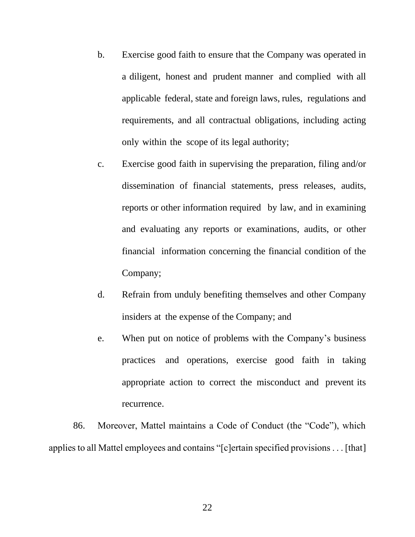- b. Exercise good faith to ensure that the Company was operated in a diligent, honest and prudent manner and complied with all applicable federal, state and foreign laws, rules, regulations and requirements, and all contractual obligations, including acting only within the scope of its legal authority;
- c. Exercise good faith in supervising the preparation, filing and/or dissemination of financial statements, press releases, audits, reports or other information required by law, and in examining and evaluating any reports or examinations, audits, or other financial information concerning the financial condition of the Company;
- d. Refrain from unduly benefiting themselves and other Company insiders at the expense of the Company; and
- e. When put on notice of problems with the Company's business practices and operations, exercise good faith in taking appropriate action to correct the misconduct and prevent its recurrence.

86. Moreover, Mattel maintains a Code of Conduct (the "Code"), which applies to all Mattel employees and contains "[c]ertain specified provisions . . . [that]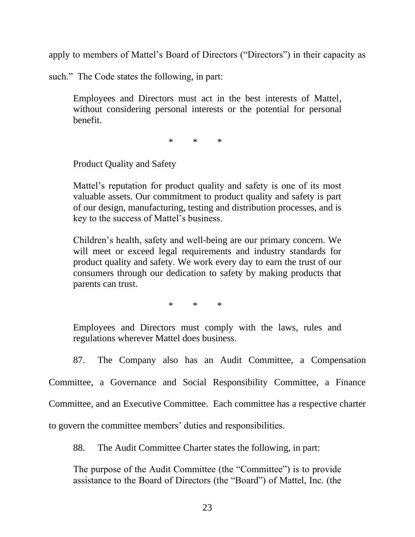apply to members of Mattel's Board of Directors ("Directors") in their capacity as

such." The Code states the following, in part:

Employees and Directors must act in the best interests of Mattel, without considering personal interests or the potential for personal benefit.

\* \* \*

Product Quality and Safety

Mattel's reputation for product quality and safety is one of its most valuable assets. Our commitment to product quality and safety is part of our design, manufacturing, testing and distribution processes, and is key to the success of Mattel's business.

Children's health, safety and well-being are our primary concern. We will meet or exceed legal requirements and industry standards for product quality and safety. We work every day to earn the trust of our consumers through our dedication to safety by making products that parents can trust.

\* \* \*

Employees and Directors must comply with the laws, rules and regulations wherever Mattel does business.

87. The Company also has an Audit Committee, a Compensation

Committee, a Governance and Social Responsibility Committee, a Finance Committee, and an Executive Committee. Each committee has a respective charter

to govern the committee members' duties and responsibilities.

88. The Audit Committee Charter states the following, in part:

The purpose of the Audit Committee (the "Committee") is to provide assistance to the Board of Directors (the "Board") of Mattel, Inc. (the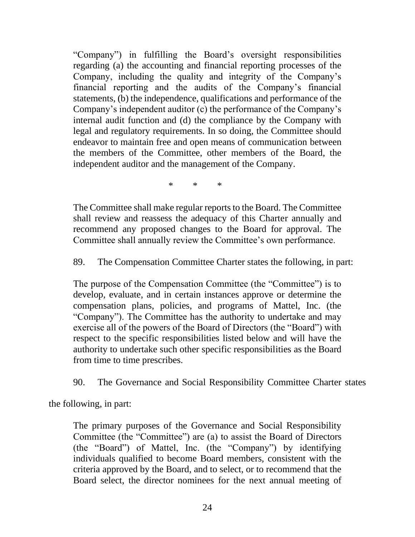"Company") in fulfilling the Board's oversight responsibilities regarding (a) the accounting and financial reporting processes of the Company, including the quality and integrity of the Company's financial reporting and the audits of the Company's financial statements, (b) the independence, qualifications and performance of the Company's independent auditor (c) the performance of the Company's internal audit function and (d) the compliance by the Company with legal and regulatory requirements. In so doing, the Committee should endeavor to maintain free and open means of communication between the members of the Committee, other members of the Board, the independent auditor and the management of the Company.

\* \* \*

The Committee shall make regular reports to the Board. The Committee shall review and reassess the adequacy of this Charter annually and recommend any proposed changes to the Board for approval. The Committee shall annually review the Committee's own performance.

89. The Compensation Committee Charter states the following, in part:

The purpose of the Compensation Committee (the "Committee") is to develop, evaluate, and in certain instances approve or determine the compensation plans, policies, and programs of Mattel, Inc. (the "Company"). The Committee has the authority to undertake and may exercise all of the powers of the Board of Directors (the "Board") with respect to the specific responsibilities listed below and will have the authority to undertake such other specific responsibilities as the Board from time to time prescribes.

90. The Governance and Social Responsibility Committee Charter states

the following, in part:

The primary purposes of the Governance and Social Responsibility Committee (the "Committee") are (a) to assist the Board of Directors (the "Board") of Mattel, Inc. (the "Company") by identifying individuals qualified to become Board members, consistent with the criteria approved by the Board, and to select, or to recommend that the Board select, the director nominees for the next annual meeting of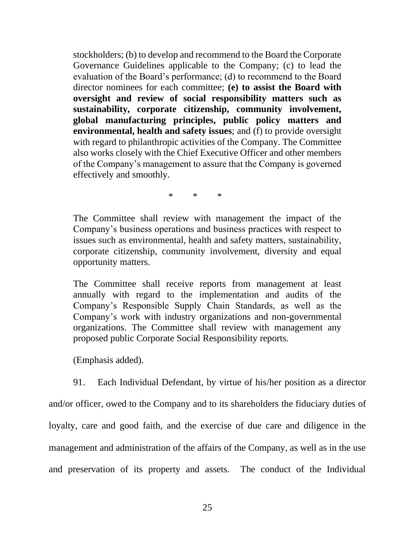stockholders; (b) to develop and recommend to the Board the Corporate Governance Guidelines applicable to the Company; (c) to lead the evaluation of the Board's performance; (d) to recommend to the Board director nominees for each committee; **(e) to assist the Board with oversight and review of social responsibility matters such as sustainability, corporate citizenship, community involvement, global manufacturing principles, public policy matters and environmental, health and safety issues**; and (f) to provide oversight with regard to philanthropic activities of the Company. The Committee also works closely with the Chief Executive Officer and other members of the Company's management to assure that the Company is governed effectively and smoothly.

\* \* \*

The Committee shall review with management the impact of the Company's business operations and business practices with respect to issues such as environmental, health and safety matters, sustainability, corporate citizenship, community involvement, diversity and equal opportunity matters.

The Committee shall receive reports from management at least annually with regard to the implementation and audits of the Company's Responsible Supply Chain Standards, as well as the Company's work with industry organizations and non-governmental organizations. The Committee shall review with management any proposed public Corporate Social Responsibility reports.

(Emphasis added).

91. Each Individual Defendant, by virtue of his/her position as a director and/or officer, owed to the Company and to its shareholders the fiduciary duties of loyalty, care and good faith, and the exercise of due care and diligence in the management and administration of the affairs of the Company, as well as in the use and preservation of its property and assets. The conduct of the Individual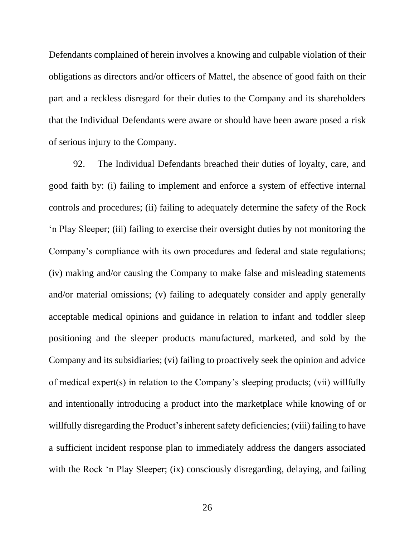Defendants complained of herein involves a knowing and culpable violation of their obligations as directors and/or officers of Mattel, the absence of good faith on their part and a reckless disregard for their duties to the Company and its shareholders that the Individual Defendants were aware or should have been aware posed a risk of serious injury to the Company.

92. The Individual Defendants breached their duties of loyalty, care, and good faith by: (i) failing to implement and enforce a system of effective internal controls and procedures; (ii) failing to adequately determine the safety of the Rock 'n Play Sleeper; (iii) failing to exercise their oversight duties by not monitoring the Company's compliance with its own procedures and federal and state regulations; (iv) making and/or causing the Company to make false and misleading statements and/or material omissions; (v) failing to adequately consider and apply generally acceptable medical opinions and guidance in relation to infant and toddler sleep positioning and the sleeper products manufactured, marketed, and sold by the Company and its subsidiaries; (vi) failing to proactively seek the opinion and advice of medical expert(s) in relation to the Company's sleeping products; (vii) willfully and intentionally introducing a product into the marketplace while knowing of or willfully disregarding the Product's inherent safety deficiencies; (viii) failing to have a sufficient incident response plan to immediately address the dangers associated with the Rock 'n Play Sleeper; (ix) consciously disregarding, delaying, and failing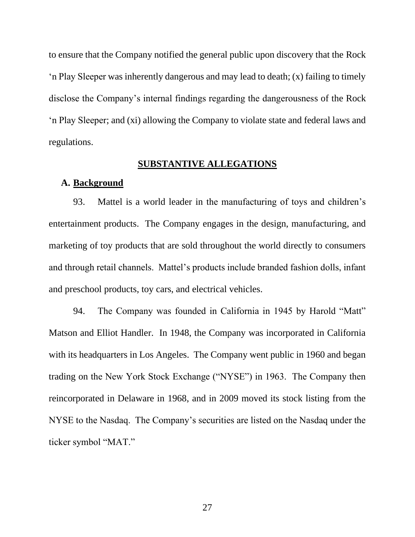to ensure that the Company notified the general public upon discovery that the Rock 'n Play Sleeper was inherently dangerous and may lead to death; (x) failing to timely disclose the Company's internal findings regarding the dangerousness of the Rock 'n Play Sleeper; and (xi) allowing the Company to violate state and federal laws and regulations.

### **SUBSTANTIVE ALLEGATIONS**

### **A. Background**

93. Mattel is a world leader in the manufacturing of toys and children's entertainment products. The Company engages in the design, manufacturing, and marketing of toy products that are sold throughout the world directly to consumers and through retail channels. Mattel's products include branded fashion dolls, infant and preschool products, toy cars, and electrical vehicles.

94. The Company was founded in California in 1945 by Harold "Matt" Matson and Elliot Handler. In 1948, the Company was incorporated in California with its headquarters in Los Angeles. The Company went public in 1960 and began trading on the New York Stock Exchange ("NYSE") in 1963. The Company then reincorporated in Delaware in 1968, and in 2009 moved its stock listing from the NYSE to the Nasdaq. The Company's securities are listed on the Nasdaq under the ticker symbol "MAT."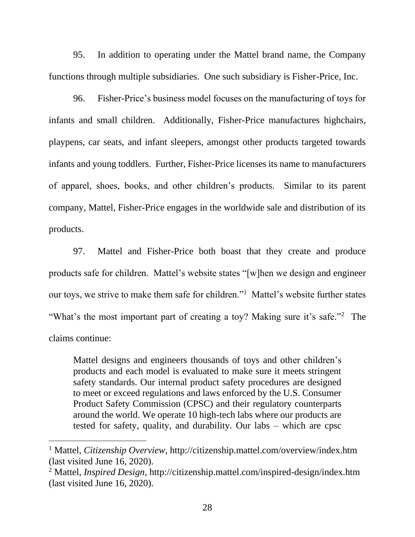95. In addition to operating under the Mattel brand name, the Company functions through multiple subsidiaries. One such subsidiary is Fisher-Price, Inc.

96. Fisher-Price's business model focuses on the manufacturing of toys for infants and small children. Additionally, Fisher-Price manufactures highchairs, playpens, car seats, and infant sleepers, amongst other products targeted towards infants and young toddlers. Further, Fisher-Price licenses its name to manufacturers of apparel, shoes, books, and other children's products. Similar to its parent company, Mattel, Fisher-Price engages in the worldwide sale and distribution of its products.

97. Mattel and Fisher-Price both boast that they create and produce products safe for children. Mattel's website states "[w]hen we design and engineer our toys, we strive to make them safe for children."<sup>1</sup> Mattel's website further states "What's the most important part of creating a toy? Making sure it's safe."<sup>2</sup> The claims continue:

Mattel designs and engineers thousands of toys and other children's products and each model is evaluated to make sure it meets stringent safety standards. Our internal product safety procedures are designed to meet or exceed regulations and laws enforced by the U.S. Consumer Product Safety Commission (CPSC) and their regulatory counterparts around the world. We operate 10 high-tech labs where our products are tested for safety, quality, and durability. Our labs – which are cpsc

<sup>1</sup> Mattel, *Citizenship Overview*, http://citizenship.mattel.com/overview/index.htm (last visited June 16, 2020).

<sup>2</sup> Mattel, *Inspired Design*, http://citizenship.mattel.com/inspired-design/index.htm (last visited June 16, 2020).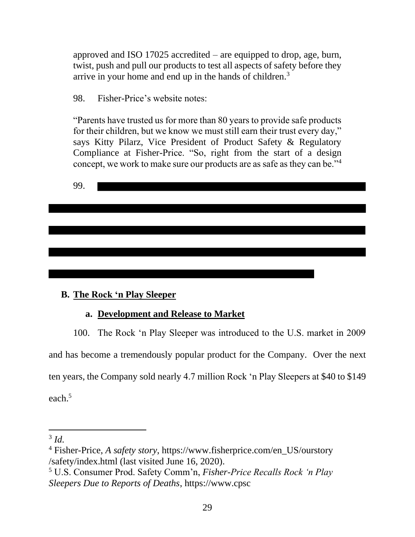approved and ISO 17025 accredited – are equipped to drop, age, burn, twist, push and pull our products to test all aspects of safety before they arrive in your home and end up in the hands of children. $3$ 

98. Fisher-Price's website notes:

"Parents have trusted us for more than 80 years to provide safe products for their children, but we know we must still earn their trust every day," says Kitty Pilarz, Vice President of Product Safety & Regulatory Compliance at Fisher-Price. "So, right from the start of a design concept, we work to make sure our products are as safe as they can be."<sup>4</sup>

99.

# **B. The Rock 'n Play Sleeper**

# **a. Development and Release to Market**

100. The Rock 'n Play Sleeper was introduced to the U.S. market in 2009 and has become a tremendously popular product for the Company. Over the next ten years, the Company sold nearly 4.7 million Rock 'n Play Sleepers at \$40 to \$149 each.<sup>5</sup>

<sup>3</sup> *Id.*

<sup>4</sup> Fisher-Price, *A safety story*, https://www.fisherprice.com/en\_US/ourstory /safety/index.html (last visited June 16, 2020).

<sup>5</sup> U.S. Consumer Prod. Safety Comm'n, *Fisher-Price Recalls Rock 'n Play Sleepers Due to Reports of Deaths*, https://www.cpsc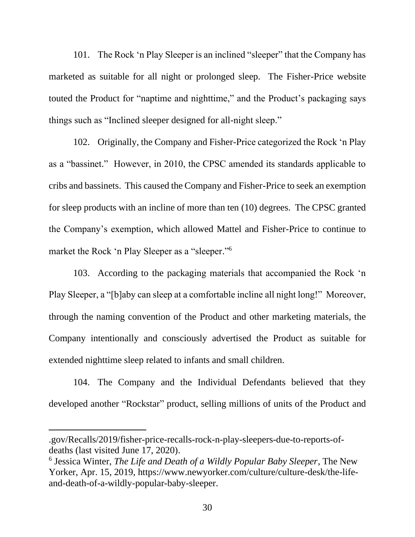101. The Rock 'n Play Sleeper is an inclined "sleeper" that the Company has marketed as suitable for all night or prolonged sleep. The Fisher-Price website touted the Product for "naptime and nighttime," and the Product's packaging says things such as "Inclined sleeper designed for all-night sleep."

102. Originally, the Company and Fisher-Price categorized the Rock 'n Play as a "bassinet." However, in 2010, the CPSC amended its standards applicable to cribs and bassinets. This caused the Company and Fisher-Price to seek an exemption for sleep products with an incline of more than ten (10) degrees. The CPSC granted the Company's exemption, which allowed Mattel and Fisher-Price to continue to market the Rock 'n Play Sleeper as a "sleeper." 6

103. According to the packaging materials that accompanied the Rock 'n Play Sleeper, a "[b]aby can sleep at a comfortable incline all night long!" Moreover, through the naming convention of the Product and other marketing materials, the Company intentionally and consciously advertised the Product as suitable for extended nighttime sleep related to infants and small children.

104. The Company and the Individual Defendants believed that they developed another "Rockstar" product, selling millions of units of the Product and

<sup>.</sup>gov/Recalls/2019/fisher-price-recalls-rock-n-play-sleepers-due-to-reports-ofdeaths (last visited June 17, 2020).

<sup>6</sup> Jessica Winter, *The Life and Death of a Wildly Popular Baby Sleeper*, The New Yorker, Apr. 15, 2019, https://www.newyorker.com/culture/culture-desk/the-lifeand-death-of-a-wildly-popular-baby-sleeper.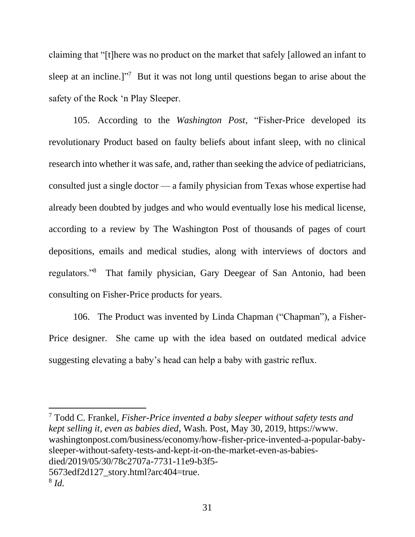claiming that "[t]here was no product on the market that safely [allowed an infant to sleep at an incline.]"<sup>7</sup> But it was not long until questions began to arise about the safety of the Rock 'n Play Sleeper.

105. According to the *Washington Post*, "Fisher-Price developed its revolutionary Product based on faulty beliefs about infant sleep, with no clinical research into whether it was safe, and, rather than seeking the advice of pediatricians, consulted just a single doctor — a family physician from Texas whose expertise had already been doubted by judges and who would eventually lose his medical license, according to a review by The Washington Post of thousands of pages of court depositions, emails and medical studies, along with interviews of doctors and regulators."<sup>8</sup> That family physician, Gary Deegear of San Antonio, had been consulting on Fisher-Price products for years.

106. The Product was invented by Linda Chapman ("Chapman"), a Fisher-Price designer. She came up with the idea based on outdated medical advice suggesting elevating a baby's head can help a baby with gastric reflux.

<sup>7</sup> Todd C. Frankel, *Fisher-Price invented a baby sleeper without safety tests and kept selling it, even as babies died*, Wash. Post, May 30, 2019, https://www. washingtonpost.com/business/economy/how-fisher-price-invented-a-popular-babysleeper-without-safety-tests-and-kept-it-on-the-market-even-as-babiesdied/2019/05/30/78c2707a-7731-11e9-b3f5- 5673edf2d127\_story.html?arc404=true. 8 *Id.*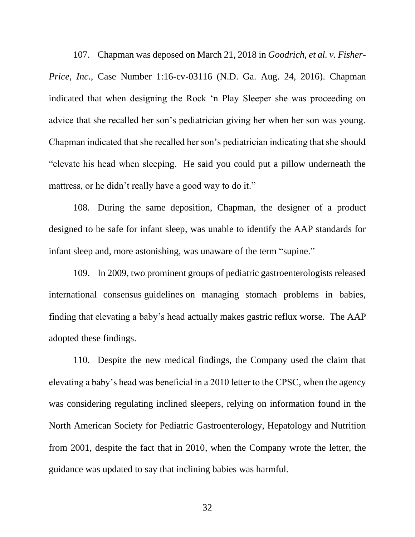107. Chapman was deposed on March 21, 2018 in *Goodrich, et al. v. Fisher-Price, Inc.*, Case Number 1:16-cv-03116 (N.D. Ga. Aug. 24, 2016). Chapman indicated that when designing the Rock 'n Play Sleeper she was proceeding on advice that she recalled her son's pediatrician giving her when her son was young. Chapman indicated that she recalled her son's pediatrician indicating that she should "elevate his head when sleeping. He said you could put a pillow underneath the mattress, or he didn't really have a good way to do it."

108. During the same deposition, Chapman, the designer of a product designed to be safe for infant sleep, was unable to identify the AAP standards for infant sleep and, more astonishing, was unaware of the term "supine."

109. In 2009, two prominent groups of pediatric gastroenterologists released international consensus guidelines on managing stomach problems in babies, finding that elevating a baby's head actually makes gastric reflux worse. The AAP adopted these findings.

110. Despite the new medical findings, the Company used the claim that elevating a baby's head was beneficial in a 2010 letter to the CPSC, when the agency was considering regulating inclined sleepers, relying on information found in the North American Society for Pediatric Gastroenterology, Hepatology and Nutrition from 2001, despite the fact that in 2010, when the Company wrote the letter, the guidance was updated to say that inclining babies was harmful.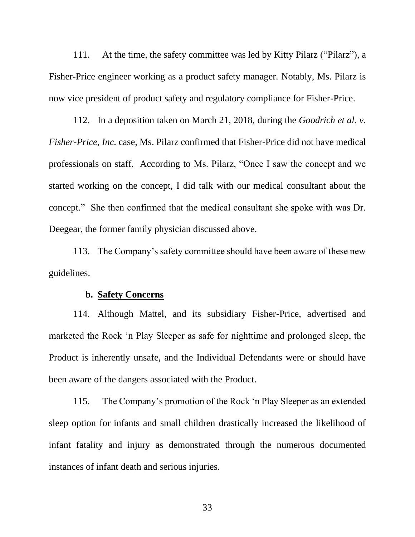111. At the time, the safety committee was led by Kitty Pilarz ("Pilarz"), a Fisher-Price engineer working as a product safety manager. Notably, Ms. Pilarz is now vice president of product safety and regulatory compliance for Fisher-Price.

112. In a deposition taken on March 21, 2018, during the *Goodrich et al. v. Fisher-Price, Inc.* case, Ms. Pilarz confirmed that Fisher-Price did not have medical professionals on staff. According to Ms. Pilarz, "Once I saw the concept and we started working on the concept, I did talk with our medical consultant about the concept." She then confirmed that the medical consultant she spoke with was Dr. Deegear, the former family physician discussed above.

113. The Company's safety committee should have been aware of these new guidelines.

### **b. Safety Concerns**

114. Although Mattel, and its subsidiary Fisher-Price, advertised and marketed the Rock 'n Play Sleeper as safe for nighttime and prolonged sleep, the Product is inherently unsafe, and the Individual Defendants were or should have been aware of the dangers associated with the Product.

115. The Company's promotion of the Rock 'n Play Sleeper as an extended sleep option for infants and small children drastically increased the likelihood of infant fatality and injury as demonstrated through the numerous documented instances of infant death and serious injuries.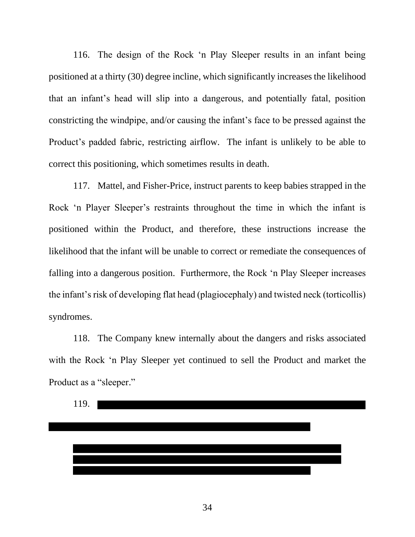116. The design of the Rock 'n Play Sleeper results in an infant being positioned at a thirty (30) degree incline, which significantly increases the likelihood that an infant's head will slip into a dangerous, and potentially fatal, position constricting the windpipe, and/or causing the infant's face to be pressed against the Product's padded fabric, restricting airflow. The infant is unlikely to be able to correct this positioning, which sometimes results in death.

117. Mattel, and Fisher-Price, instruct parents to keep babies strapped in the Rock 'n Player Sleeper's restraints throughout the time in which the infant is positioned within the Product, and therefore, these instructions increase the likelihood that the infant will be unable to correct or remediate the consequences of falling into a dangerous position. Furthermore, the Rock 'n Play Sleeper increases the infant's risk of developing flat head (plagiocephaly) and twisted neck (torticollis) syndromes.

118. The Company knew internally about the dangers and risks associated with the Rock 'n Play Sleeper yet continued to sell the Product and market the Product as a "sleeper."

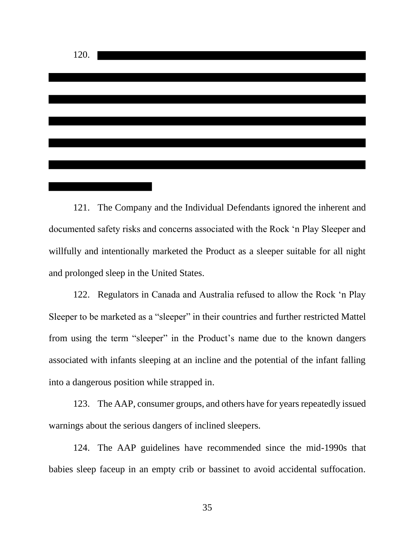

121. The Company and the Individual Defendants ignored the inherent and documented safety risks and concerns associated with the Rock 'n Play Sleeper and willfully and intentionally marketed the Product as a sleeper suitable for all night and prolonged sleep in the United States.

122. Regulators in Canada and Australia refused to allow the Rock 'n Play Sleeper to be marketed as a "sleeper" in their countries and further restricted Mattel from using the term "sleeper" in the Product's name due to the known dangers associated with infants sleeping at an incline and the potential of the infant falling into a dangerous position while strapped in.

123. The AAP, consumer groups, and others have for years repeatedly issued warnings about the serious dangers of inclined sleepers.

124. The AAP guidelines have recommended since the mid-1990s that babies sleep faceup in an empty crib or bassinet to avoid accidental suffocation.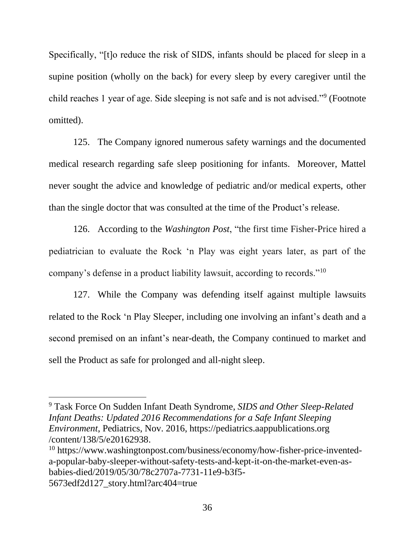Specifically, "[t]o reduce the risk of SIDS, infants should be placed for sleep in a supine position (wholly on the back) for every sleep by every caregiver until the child reaches 1 year of age. Side sleeping is not safe and is not advised."<sup>9</sup> (Footnote omitted).

125. The Company ignored numerous safety warnings and the documented medical research regarding safe sleep positioning for infants. Moreover, Mattel never sought the advice and knowledge of pediatric and/or medical experts, other than the single doctor that was consulted at the time of the Product's release.

126. According to the *Washington Post*, "the first time Fisher-Price hired a pediatrician to evaluate the Rock 'n Play was eight years later, as part of the company's defense in a product liability lawsuit, according to records."<sup>10</sup>

127. While the Company was defending itself against multiple lawsuits related to the Rock 'n Play Sleeper, including one involving an infant's death and a second premised on an infant's near-death, the Company continued to market and sell the Product as safe for prolonged and all-night sleep.

<sup>9</sup> Task Force On Sudden Infant Death Syndrome, *SIDS and Other Sleep-Related Infant Deaths: Updated 2016 Recommendations for a Safe Infant Sleeping Environment*, Pediatrics, Nov. 2016, https://pediatrics.aappublications.org /content/138/5/e20162938.

<sup>10</sup> https://www.washingtonpost.com/business/economy/how-fisher-price-inventeda-popular-baby-sleeper-without-safety-tests-and-kept-it-on-the-market-even-asbabies-died/2019/05/30/78c2707a-7731-11e9-b3f5- 5673edf2d127\_story.html?arc404=true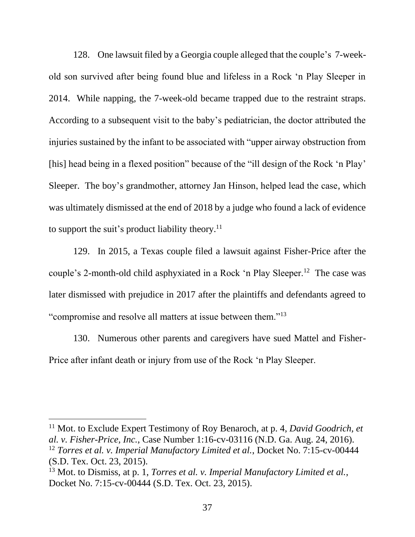128. One lawsuit filed by a Georgia couple alleged that the couple's 7-weekold son survived after being found blue and lifeless in a Rock 'n Play Sleeper in 2014. While napping, the 7-week-old became trapped due to the restraint straps. According to a subsequent visit to the baby's pediatrician, the doctor attributed the injuries sustained by the infant to be associated with "upper airway obstruction from [his] head being in a flexed position" because of the "ill design of the Rock 'n Play' Sleeper. The boy's grandmother, attorney Jan Hinson, helped lead the case, which was ultimately dismissed at the end of 2018 by a judge who found a lack of evidence to support the suit's product liability theory.<sup>11</sup>

129. In 2015, a Texas couple filed a lawsuit against Fisher-Price after the couple's 2-month-old child asphyxiated in a Rock 'n Play Sleeper.<sup>12</sup> The case was later dismissed with prejudice in 2017 after the plaintiffs and defendants agreed to "compromise and resolve all matters at issue between them."<sup>13</sup>

130. Numerous other parents and caregivers have sued Mattel and Fisher-Price after infant death or injury from use of the Rock 'n Play Sleeper.

<sup>11</sup> Mot. to Exclude Expert Testimony of Roy Benaroch, at p. 4, *David Goodrich, et al. v. Fisher-Price, Inc.*, Case Number 1:16-cv-03116 (N.D. Ga. Aug. 24, 2016). <sup>12</sup> *Torres et al. v. Imperial Manufactory Limited et al., Docket No. 7:15-cv-00444* (S.D. Tex. Oct. 23, 2015).

<sup>&</sup>lt;sup>13</sup> Mot. to Dismiss, at p. 1, *Torres et al. v. Imperial Manufactory Limited et al.*, Docket No. 7:15-cv-00444 (S.D. Tex. Oct. 23, 2015).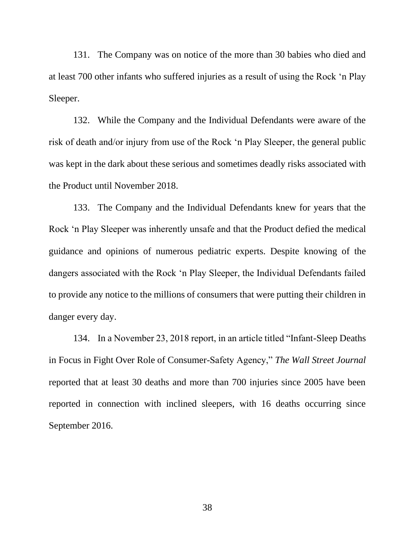131. The Company was on notice of the more than 30 babies who died and at least 700 other infants who suffered injuries as a result of using the Rock 'n Play Sleeper.

132. While the Company and the Individual Defendants were aware of the risk of death and/or injury from use of the Rock 'n Play Sleeper, the general public was kept in the dark about these serious and sometimes deadly risks associated with the Product until November 2018.

133. The Company and the Individual Defendants knew for years that the Rock 'n Play Sleeper was inherently unsafe and that the Product defied the medical guidance and opinions of numerous pediatric experts. Despite knowing of the dangers associated with the Rock 'n Play Sleeper, the Individual Defendants failed to provide any notice to the millions of consumers that were putting their children in danger every day.

134. In a November 23, 2018 report, in an article titled "Infant-Sleep Deaths in Focus in Fight Over Role of Consumer-Safety Agency," *The Wall Street Journal* reported that at least 30 deaths and more than 700 injuries since 2005 have been reported in connection with inclined sleepers, with 16 deaths occurring since September 2016.

38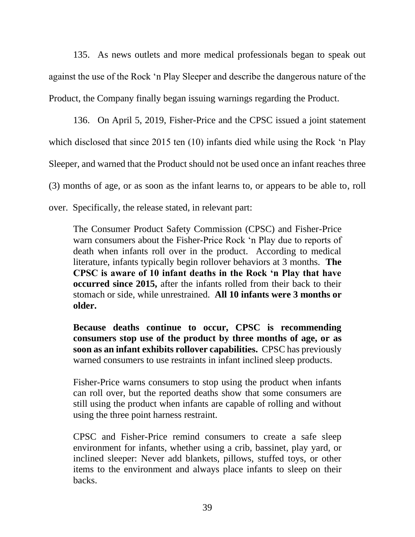135. As news outlets and more medical professionals began to speak out against the use of the Rock 'n Play Sleeper and describe the dangerous nature of the Product, the Company finally began issuing warnings regarding the Product.

136. On April 5, 2019, Fisher-Price and the CPSC issued a joint statement which disclosed that since 2015 ten (10) infants died while using the Rock 'n Play Sleeper, and warned that the Product should not be used once an infant reaches three (3) months of age, or as soon as the infant learns to, or appears to be able to, roll over. Specifically, the release stated, in relevant part:

The Consumer Product Safety Commission (CPSC) and Fisher-Price warn consumers about the Fisher-Price Rock 'n Play due to reports of death when infants roll over in the product. According to medical literature, infants typically begin rollover behaviors at 3 months. **The CPSC is aware of 10 infant deaths in the Rock 'n Play that have occurred since 2015,** after the infants rolled from their back to their stomach or side, while unrestrained. **All 10 infants were 3 months or older.**

**Because deaths continue to occur, CPSC is recommending consumers stop use of the product by three months of age, or as soon as an infant exhibits rollover capabilities.** CPSC has previously warned consumers to use restraints in infant inclined sleep products.

Fisher-Price warns consumers to stop using the product when infants can roll over, but the reported deaths show that some consumers are still using the product when infants are capable of rolling and without using the three point harness restraint.

CPSC and Fisher-Price remind consumers to create a safe sleep environment for infants, whether using a crib, bassinet, play yard, or inclined sleeper: Never add blankets, pillows, stuffed toys, or other items to the environment and always place infants to sleep on their backs.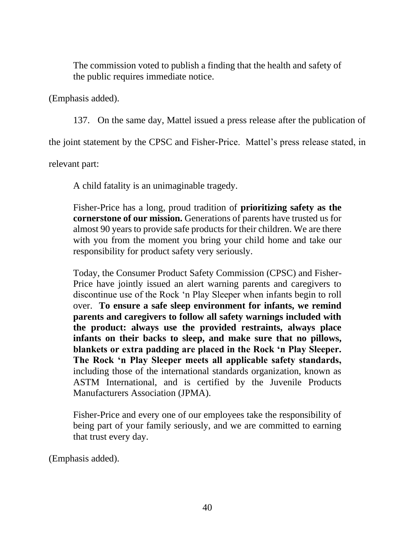The commission voted to publish a finding that the health and safety of the public requires immediate notice.

(Emphasis added).

137. On the same day, Mattel issued a press release after the publication of

the joint statement by the CPSC and Fisher-Price. Mattel's press release stated, in

relevant part:

A child fatality is an unimaginable tragedy.

Fisher-Price has a long, proud tradition of **prioritizing safety as the cornerstone of our mission.** Generations of parents have trusted us for almost 90 years to provide safe products for their children. We are there with you from the moment you bring your child home and take our responsibility for product safety very seriously.

Today, the Consumer Product Safety Commission (CPSC) and Fisher-Price have jointly issued an alert warning parents and caregivers to discontinue use of the Rock 'n Play Sleeper when infants begin to roll over. **To ensure a safe sleep environment for infants, we remind parents and caregivers to follow all safety warnings included with the product: always use the provided restraints, always place infants on their backs to sleep, and make sure that no pillows, blankets or extra padding are placed in the Rock 'n Play Sleeper. The Rock 'n Play Sleeper meets all applicable safety standards,**  including those of the international standards organization, known as ASTM International, and is certified by the Juvenile Products Manufacturers Association (JPMA).

Fisher-Price and every one of our employees take the responsibility of being part of your family seriously, and we are committed to earning that trust every day.

(Emphasis added).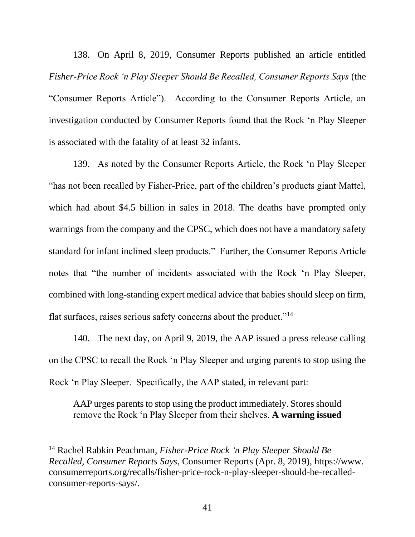138. On April 8, 2019, Consumer Reports published an article entitled *Fisher-Price Rock 'n Play Sleeper Should Be Recalled, Consumer Reports Says* (the "Consumer Reports Article"). According to the Consumer Reports Article, an investigation conducted by Consumer Reports found that the Rock 'n Play Sleeper is associated with the fatality of at least 32 infants.

139. As noted by the Consumer Reports Article, the Rock 'n Play Sleeper "has not been recalled by Fisher-Price, part of the children's products giant Mattel, which had about \$4.5 billion in sales in 2018. The deaths have prompted only warnings from the company and the CPSC, which does not have a mandatory safety standard for infant inclined sleep products." Further, the Consumer Reports Article notes that "the number of incidents associated with the Rock 'n Play Sleeper, combined with long-standing expert medical advice that babies should sleep on firm, flat surfaces, raises serious safety concerns about the product."<sup>14</sup>

140. The next day, on April 9, 2019, the AAP issued a press release calling on the CPSC to recall the Rock 'n Play Sleeper and urging parents to stop using the Rock 'n Play Sleeper. Specifically, the AAP stated, in relevant part:

AAP urges parents to stop using the product immediately. Stores should remove the Rock 'n Play Sleeper from their shelves. **A warning issued** 

<sup>14</sup> Rachel Rabkin Peachman, *Fisher-Price Rock 'n Play Sleeper Should Be Recalled, Consumer Reports Says*, Consumer Reports (Apr. 8, 2019), https://www. consumerreports.org/recalls/fisher-price-rock-n-play-sleeper-should-be-recalledconsumer-reports-says/.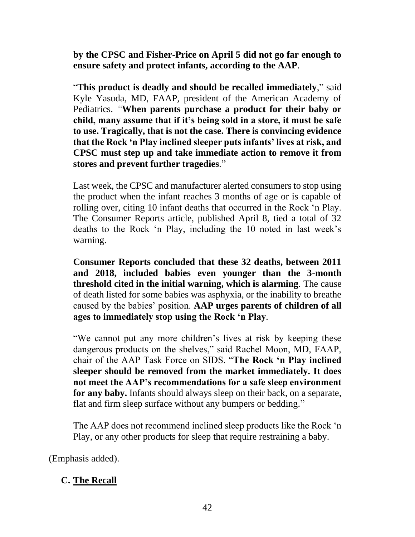**by the CPSC and Fisher-Price on April 5 did not go far enough to ensure safety and protect infants, according to the AAP***.*

"**This product is deadly and should be recalled immediately**," said Kyle Yasuda, MD, FAAP, president of the American Academy of Pediatrics. *"***When parents purchase a product for their baby or child, many assume that if it's being sold in a store, it must be safe to use. Tragically, that is not the case. There is convincing evidence that the Rock 'n Play inclined sleeper puts infants' lives at risk, and CPSC must step up and take immediate action to remove it from stores and prevent further tragedies***.*"

Last week, the CPSC and manufacturer alerted consumers to stop using the product when the infant reaches 3 months of age or is capable of rolling over, citing 10 infant deaths that occurred in the Rock 'n Play. The Consumer Reports article, published April 8, tied a total of 32 deaths to the Rock 'n Play, including the 10 noted in last week's warning.

**Consumer Reports concluded that these 32 deaths, between 2011 and 2018, included babies even younger than the 3-month threshold cited in the initial warning, which is alarming***.* The cause of death listed for some babies was asphyxia, or the inability to breathe caused by the babies' position. **AAP urges parents of children of all ages to immediately stop using the Rock 'n Play***.*

"We cannot put any more children's lives at risk by keeping these dangerous products on the shelves," said Rachel Moon, MD, FAAP, chair of the AAP Task Force on SIDS. "**The Rock 'n Play inclined sleeper should be removed from the market immediately. It does not meet the AAP's recommendations for a safe sleep environment for any baby.** Infants should always sleep on their back, on a separate, flat and firm sleep surface without any bumpers or bedding."

The AAP does not recommend inclined sleep products like the Rock 'n Play, or any other products for sleep that require restraining a baby.

(Emphasis added).

# **C. The Recall**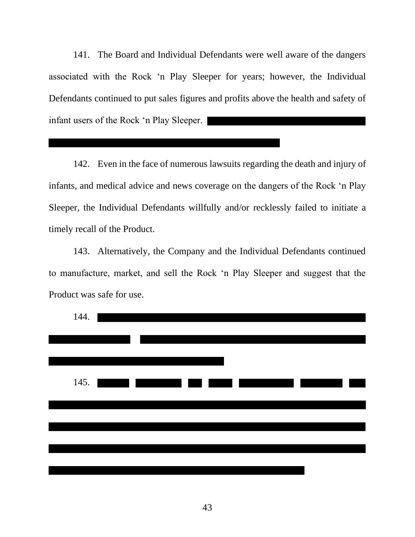141. The Board and Individual Defendants were well aware of the dangers associated with the Rock 'n Play Sleeper for years; however, the Individual Defendants continued to put sales figures and profits above the health and safety of infant users of the Rock 'n Play Sleeper.

142. Even in the face of numerous lawsuits regarding the death and injury of infants, and medical advice and news coverage on the dangers of the Rock 'n Play Sleeper, the Individual Defendants willfully and/or recklessly failed to initiate a timely recall of the Product.

143. Alternatively, the Company and the Individual Defendants continued to manufacture, market, and sell the Rock 'n Play Sleeper and suggest that the Product was safe for use.

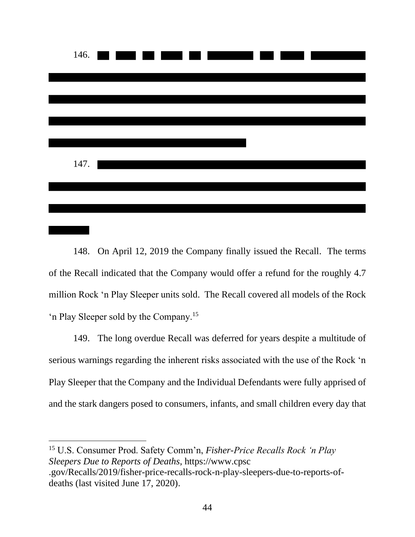

148. On April 12, 2019 the Company finally issued the Recall. The terms of the Recall indicated that the Company would offer a refund for the roughly 4.7 million Rock 'n Play Sleeper units sold. The Recall covered all models of the Rock 'n Play Sleeper sold by the Company.<sup>15</sup>

149. The long overdue Recall was deferred for years despite a multitude of serious warnings regarding the inherent risks associated with the use of the Rock 'n Play Sleeper that the Company and the Individual Defendants were fully apprised of and the stark dangers posed to consumers, infants, and small children every day that

<sup>15</sup> U.S. Consumer Prod. Safety Comm'n, *Fisher-Price Recalls Rock 'n Play Sleepers Due to Reports of Deaths*, https://www.cpsc .gov/Recalls/2019/fisher-price-recalls-rock-n-play-sleepers-due-to-reports-ofdeaths (last visited June 17, 2020).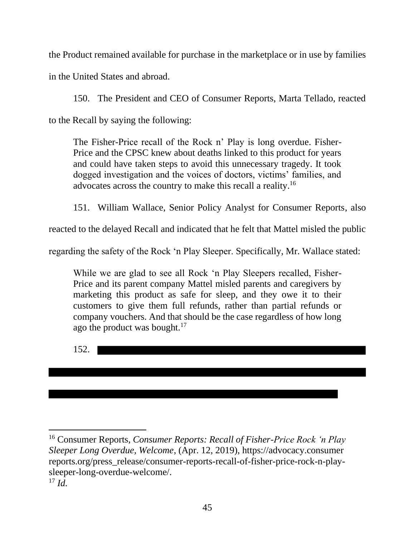the Product remained available for purchase in the marketplace or in use by families in the United States and abroad.

150. The President and CEO of Consumer Reports, Marta Tellado, reacted to the Recall by saying the following:

The Fisher-Price recall of the Rock n' Play is long overdue. Fisher-Price and the CPSC knew about deaths linked to this product for years and could have taken steps to avoid this unnecessary tragedy. It took dogged investigation and the voices of doctors, victims' families, and advocates across the country to make this recall a reality.<sup>16</sup>

151. William Wallace, Senior Policy Analyst for Consumer Reports, also

reacted to the delayed Recall and indicated that he felt that Mattel misled the public

regarding the safety of the Rock 'n Play Sleeper. Specifically, Mr. Wallace stated:

While we are glad to see all Rock 'n Play Sleepers recalled, Fisher-Price and its parent company Mattel misled parents and caregivers by marketing this product as safe for sleep, and they owe it to their customers to give them full refunds, rather than partial refunds or company vouchers. And that should be the case regardless of how long ago the product was bought. $17$ 

152.

<sup>16</sup> Consumer Reports, *Consumer Reports: Recall of Fisher-Price Rock 'n Play Sleeper Long Overdue, Welcome*, (Apr. 12, 2019), https://advocacy.consumer reports.org/press\_release/consumer-reports-recall-of-fisher-price-rock-n-playsleeper-long-overdue-welcome/. <sup>17</sup> *Id.*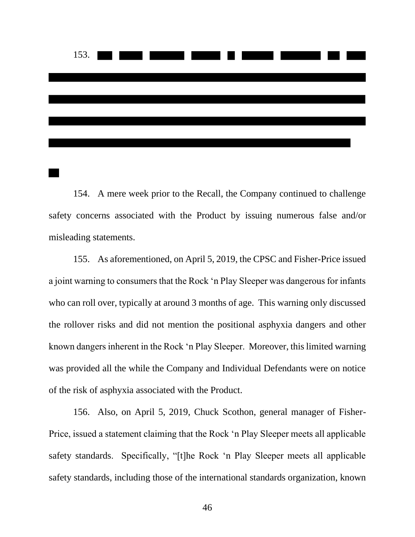

154. A mere week prior to the Recall, the Company continued to challenge safety concerns associated with the Product by issuing numerous false and/or misleading statements.

155. As aforementioned, on April 5, 2019, the CPSC and Fisher-Price issued a joint warning to consumers that the Rock 'n Play Sleeper was dangerous for infants who can roll over, typically at around 3 months of age. This warning only discussed the rollover risks and did not mention the positional asphyxia dangers and other known dangers inherent in the Rock 'n Play Sleeper. Moreover, this limited warning was provided all the while the Company and Individual Defendants were on notice of the risk of asphyxia associated with the Product.

156. Also, on April 5, 2019, Chuck Scothon, general manager of Fisher-Price, issued a statement claiming that the Rock 'n Play Sleeper meets all applicable safety standards. Specifically, "[t]he Rock 'n Play Sleeper meets all applicable safety standards, including those of the international standards organization, known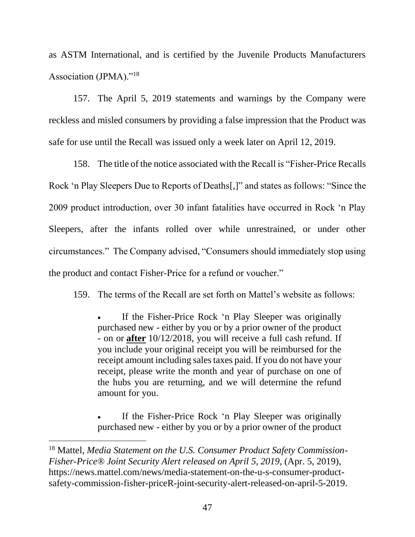as ASTM International, and is certified by the Juvenile Products Manufacturers Association (JPMA)."<sup>18</sup>

157. The April 5, 2019 statements and warnings by the Company were reckless and misled consumers by providing a false impression that the Product was safe for use until the Recall was issued only a week later on April 12, 2019.

158. The title of the notice associated with the Recall is "Fisher-Price Recalls Rock 'n Play Sleepers Due to Reports of Deaths[,]" and states as follows: "Since the 2009 product introduction, over 30 infant fatalities have occurred in Rock 'n Play Sleepers, after the infants rolled over while unrestrained, or under other circumstances." The Company advised, "Consumers should immediately stop using the product and contact Fisher-Price for a refund or voucher."

159. The terms of the Recall are set forth on Mattel's website as follows:

If the Fisher-Price Rock 'n Play Sleeper was originally purchased new - either by you or by a prior owner of the product - on or **after** 10/12/2018, you will receive a full cash refund. If you include your original receipt you will be reimbursed for the receipt amount including sales taxes paid. If you do not have your receipt, please write the month and year of purchase on one of the hubs you are returning, and we will determine the refund amount for you.

If the Fisher-Price Rock 'n Play Sleeper was originally purchased new - either by you or by a prior owner of the product

<sup>18</sup> Mattel, *Media Statement on the U.S. Consumer Product Safety Commission-Fisher-Price® Joint Security Alert released on April 5, 2019*, (Apr. 5, 2019), https://news.mattel.com/news/media-statement-on-the-u-s-consumer-productsafety-commission-fisher-priceR-joint-security-alert-released-on-april-5-2019.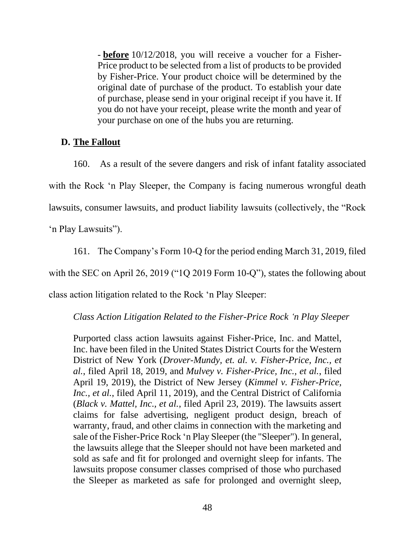- **before** 10/12/2018, you will receive a voucher for a Fisher-Price product to be selected from a list of products to be provided by Fisher-Price. Your product choice will be determined by the original date of purchase of the product. To establish your date of purchase, please send in your original receipt if you have it. If you do not have your receipt, please write the month and year of your purchase on one of the hubs you are returning.

# **D. The Fallout**

160. As a result of the severe dangers and risk of infant fatality associated with the Rock 'n Play Sleeper, the Company is facing numerous wrongful death lawsuits, consumer lawsuits, and product liability lawsuits (collectively, the "Rock

'n Play Lawsuits").

161. The Company's Form 10-Q for the period ending March 31, 2019, filed

with the SEC on April 26, 2019 ("1Q 2019 Form 10-Q"), states the following about

class action litigation related to the Rock 'n Play Sleeper:

*Class Action Litigation Related to the Fisher-Price Rock 'n Play Sleeper*

Purported class action lawsuits against Fisher-Price, Inc. and Mattel, Inc. have been filed in the United States District Courts for the Western District of New York (*Drover-Mundy, et. al. v. Fisher-Price, Inc., et al.*, filed April 18, 2019, and *Mulvey v. Fisher-Price, Inc., et al.*, filed April 19, 2019), the District of New Jersey (*Kimmel v. Fisher-Price, Inc., et al.*, filed April 11, 2019), and the Central District of California (*Black v. Mattel, Inc., et al.*, filed April 23, 2019). The lawsuits assert claims for false advertising, negligent product design, breach of warranty, fraud, and other claims in connection with the marketing and sale of the Fisher-Price Rock 'n Play Sleeper (the "Sleeper"). In general, the lawsuits allege that the Sleeper should not have been marketed and sold as safe and fit for prolonged and overnight sleep for infants. The lawsuits propose consumer classes comprised of those who purchased the Sleeper as marketed as safe for prolonged and overnight sleep,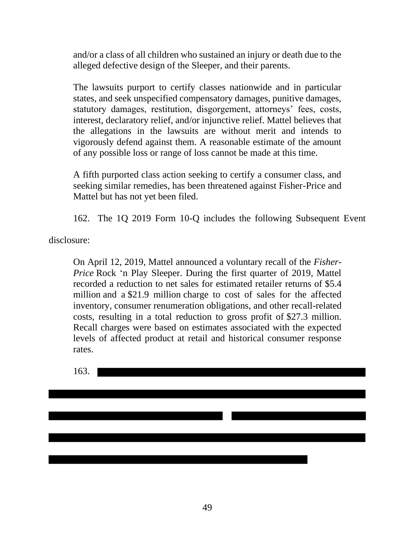and/or a class of all children who sustained an injury or death due to the alleged defective design of the Sleeper, and their parents.

The lawsuits purport to certify classes nationwide and in particular states, and seek unspecified compensatory damages, punitive damages, statutory damages, restitution, disgorgement, attorneys' fees, costs, interest, declaratory relief, and/or injunctive relief. Mattel believes that the allegations in the lawsuits are without merit and intends to vigorously defend against them. A reasonable estimate of the amount of any possible loss or range of loss cannot be made at this time.

A fifth purported class action seeking to certify a consumer class, and seeking similar remedies, has been threatened against Fisher-Price and Mattel but has not yet been filed.

162. The 1Q 2019 Form 10-Q includes the following Subsequent Event

disclosure:

On April 12, 2019, Mattel announced a voluntary recall of the *Fisher-Price* Rock 'n Play Sleeper. During the first quarter of 2019, Mattel recorded a reduction to net sales for estimated retailer returns of \$5.4 million and a \$21.9 million charge to cost of sales for the affected inventory, consumer renumeration obligations, and other recall-related costs, resulting in a total reduction to gross profit of \$27.3 million. Recall charges were based on estimates associated with the expected levels of affected product at retail and historical consumer response rates.

163.

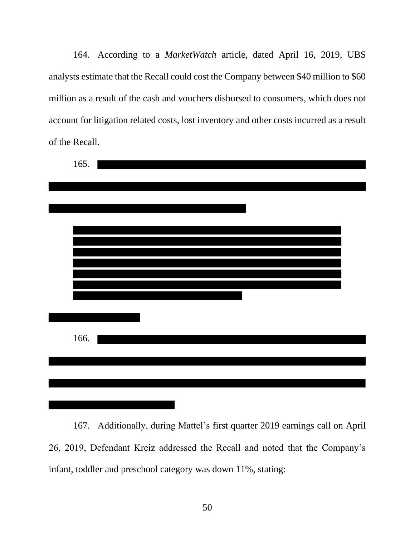164. According to a *MarketWatch* article, dated April 16, 2019, UBS analysts estimate that the Recall could cost the Company between \$40 million to \$60 million as a result of the cash and vouchers disbursed to consumers, which does not account for litigation related costs, lost inventory and other costs incurred as a result of the Recall.

| 165. |  |  |  |
|------|--|--|--|
|      |  |  |  |
|      |  |  |  |
|      |  |  |  |
|      |  |  |  |
|      |  |  |  |
|      |  |  |  |
|      |  |  |  |
|      |  |  |  |
|      |  |  |  |
| 166. |  |  |  |
|      |  |  |  |
|      |  |  |  |
|      |  |  |  |
|      |  |  |  |

167. Additionally, during Mattel's first quarter 2019 earnings call on April 26, 2019, Defendant Kreiz addressed the Recall and noted that the Company's infant, toddler and preschool category was down 11%, stating: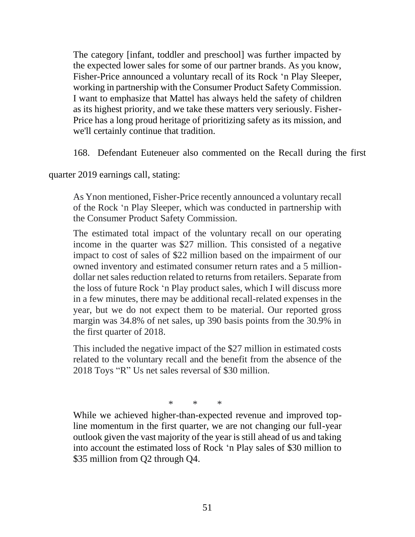The category [infant, toddler and preschool] was further impacted by the expected lower sales for some of our partner brands. As you know, Fisher-Price announced a voluntary recall of its Rock 'n Play Sleeper, working in partnership with the Consumer Product Safety Commission. I want to emphasize that Mattel has always held the safety of children as its highest priority, and we take these matters very seriously. Fisher-Price has a long proud heritage of prioritizing safety as its mission, and we'll certainly continue that tradition.

168. Defendant Euteneuer also commented on the Recall during the first

quarter 2019 earnings call, stating:

As Ynon mentioned, Fisher-Price recently announced a voluntary recall of the Rock 'n Play Sleeper, which was conducted in partnership with the Consumer Product Safety Commission.

The estimated total impact of the voluntary recall on our operating income in the quarter was \$27 million. This consisted of a negative impact to cost of sales of \$22 million based on the impairment of our owned inventory and estimated consumer return rates and a 5 milliondollar net sales reduction related to returns from retailers. Separate from the loss of future Rock 'n Play product sales, which I will discuss more in a few minutes, there may be additional recall-related expenses in the year, but we do not expect them to be material. Our reported gross margin was 34.8% of net sales, up 390 basis points from the 30.9% in the first quarter of 2018.

This included the negative impact of the \$27 million in estimated costs related to the voluntary recall and the benefit from the absence of the 2018 Toys "R" Us net sales reversal of \$30 million.

\* \* \*

While we achieved higher-than-expected revenue and improved topline momentum in the first quarter, we are not changing our full-year outlook given the vast majority of the year is still ahead of us and taking into account the estimated loss of Rock 'n Play sales of \$30 million to \$35 million from O2 through O4.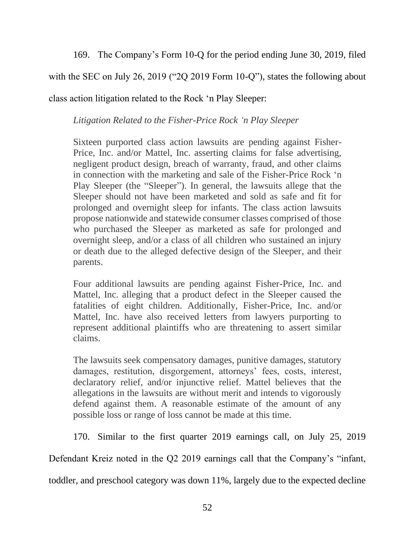169. The Company's Form 10-Q for the period ending June 30, 2019, filed

with the SEC on July 26, 2019 ("2Q 2019 Form 10-Q"), states the following about

class action litigation related to the Rock 'n Play Sleeper:

*Litigation Related to the Fisher-Price Rock 'n Play Sleeper*

Sixteen purported class action lawsuits are pending against Fisher-Price, Inc. and/or Mattel, Inc. asserting claims for false advertising, negligent product design, breach of warranty, fraud, and other claims in connection with the marketing and sale of the Fisher-Price Rock 'n Play Sleeper (the "Sleeper"). In general, the lawsuits allege that the Sleeper should not have been marketed and sold as safe and fit for prolonged and overnight sleep for infants. The class action lawsuits propose nationwide and statewide consumer classes comprised of those who purchased the Sleeper as marketed as safe for prolonged and overnight sleep, and/or a class of all children who sustained an injury or death due to the alleged defective design of the Sleeper, and their parents.

Four additional lawsuits are pending against Fisher-Price, Inc. and Mattel, Inc. alleging that a product defect in the Sleeper caused the fatalities of eight children. Additionally, Fisher-Price, Inc. and/or Mattel, Inc. have also received letters from lawyers purporting to represent additional plaintiffs who are threatening to assert similar claims.

The lawsuits seek compensatory damages, punitive damages, statutory damages, restitution, disgorgement, attorneys' fees, costs, interest, declaratory relief, and/or injunctive relief. Mattel believes that the allegations in the lawsuits are without merit and intends to vigorously defend against them. A reasonable estimate of the amount of any possible loss or range of loss cannot be made at this time.

170. Similar to the first quarter 2019 earnings call, on July 25, 2019

Defendant Kreiz noted in the Q2 2019 earnings call that the Company's "infant,

toddler, and preschool category was down 11%, largely due to the expected decline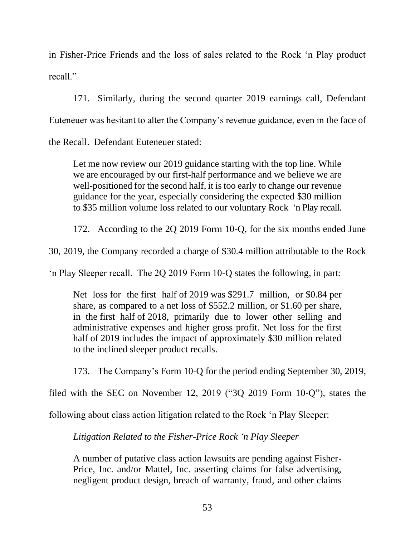in Fisher-Price Friends and the loss of sales related to the Rock 'n Play product recall."

171. Similarly, during the second quarter 2019 earnings call, Defendant Euteneuer was hesitant to alter the Company's revenue guidance, even in the face of

the Recall. Defendant Euteneuer stated:

Let me now review our 2019 guidance starting with the top line. While we are encouraged by our first-half performance and we believe we are well-positioned for the second half, it is too early to change our revenue guidance for the year, especially considering the expected \$30 million to \$35 million volume loss related to our voluntary Rock 'n Play recall.

172. According to the 2Q 2019 Form 10-Q, for the six months ended June

30, 2019, the Company recorded a charge of \$30.4 million attributable to the Rock

'n Play Sleeper recall. The 2Q 2019 Form 10-Q states the following, in part:

Net loss for the first half of 2019 was \$291.7 million, or \$0.84 per share, as compared to a net loss of \$552.2 million, or \$1.60 per share, in the first half of 2018, primarily due to lower other selling and administrative expenses and higher gross profit. Net loss for the first half of 2019 includes the impact of approximately \$30 million related to the inclined sleeper product recalls.

173. The Company's Form 10-Q for the period ending September 30, 2019,

filed with the SEC on November 12, 2019 ("3Q 2019 Form 10-Q"), states the

following about class action litigation related to the Rock 'n Play Sleeper:

*Litigation Related to the Fisher-Price Rock 'n Play Sleeper*

A number of putative class action lawsuits are pending against Fisher-Price, Inc. and/or Mattel, Inc. asserting claims for false advertising, negligent product design, breach of warranty, fraud, and other claims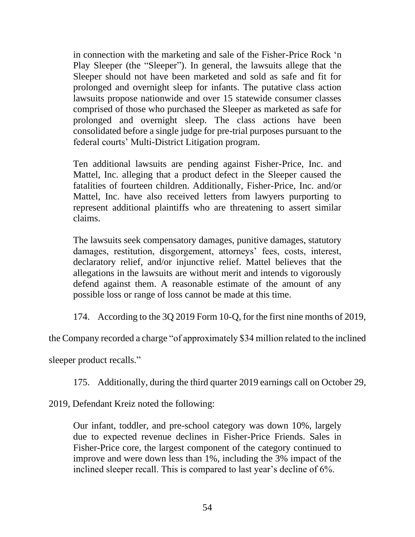in connection with the marketing and sale of the Fisher-Price Rock 'n Play Sleeper (the "Sleeper"). In general, the lawsuits allege that the Sleeper should not have been marketed and sold as safe and fit for prolonged and overnight sleep for infants. The putative class action lawsuits propose nationwide and over 15 statewide consumer classes comprised of those who purchased the Sleeper as marketed as safe for prolonged and overnight sleep. The class actions have been consolidated before a single judge for pre-trial purposes pursuant to the federal courts' Multi-District Litigation program.

Ten additional lawsuits are pending against Fisher-Price, Inc. and Mattel, Inc. alleging that a product defect in the Sleeper caused the fatalities of fourteen children. Additionally, Fisher-Price, Inc. and/or Mattel, Inc. have also received letters from lawyers purporting to represent additional plaintiffs who are threatening to assert similar claims.

The lawsuits seek compensatory damages, punitive damages, statutory damages, restitution, disgorgement, attorneys' fees, costs, interest, declaratory relief, and/or injunctive relief. Mattel believes that the allegations in the lawsuits are without merit and intends to vigorously defend against them. A reasonable estimate of the amount of any possible loss or range of loss cannot be made at this time.

174. According to the 3Q 2019 Form 10-Q, for the first nine months of 2019,

the Company recorded a charge "of approximately \$34 million related to the inclined

sleeper product recalls."

175. Additionally, during the third quarter 2019 earnings call on October 29,

2019, Defendant Kreiz noted the following:

Our infant, toddler, and pre-school category was down 10%, largely due to expected revenue declines in Fisher-Price Friends. Sales in Fisher-Price core, the largest component of the category continued to improve and were down less than 1%, including the 3% impact of the inclined sleeper recall. This is compared to last year's decline of 6%.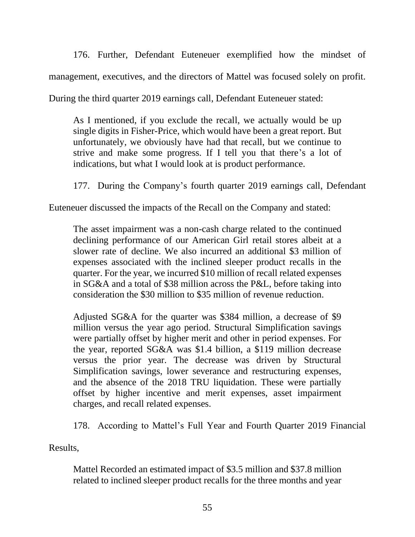176. Further, Defendant Euteneuer exemplified how the mindset of management, executives, and the directors of Mattel was focused solely on profit.

During the third quarter 2019 earnings call, Defendant Euteneuer stated:

As I mentioned, if you exclude the recall, we actually would be up single digits in Fisher-Price, which would have been a great report. But unfortunately, we obviously have had that recall, but we continue to strive and make some progress. If I tell you that there's a lot of indications, but what I would look at is product performance.

177. During the Company's fourth quarter 2019 earnings call, Defendant

Euteneuer discussed the impacts of the Recall on the Company and stated:

The asset impairment was a non-cash charge related to the continued declining performance of our American Girl retail stores albeit at a slower rate of decline. We also incurred an additional \$3 million of expenses associated with the inclined sleeper product recalls in the quarter. For the year, we incurred \$10 million of recall related expenses in SG&A and a total of \$38 million across the P&L, before taking into consideration the \$30 million to \$35 million of revenue reduction.

Adjusted SG&A for the quarter was \$384 million, a decrease of \$9 million versus the year ago period. Structural Simplification savings were partially offset by higher merit and other in period expenses. For the year, reported SG&A was \$1.4 billion, a \$119 million decrease versus the prior year. The decrease was driven by Structural Simplification savings, lower severance and restructuring expenses, and the absence of the 2018 TRU liquidation. These were partially offset by higher incentive and merit expenses, asset impairment charges, and recall related expenses.

178. According to Mattel's Full Year and Fourth Quarter 2019 Financial

Results,

Mattel Recorded an estimated impact of \$3.5 million and \$37.8 million related to inclined sleeper product recalls for the three months and year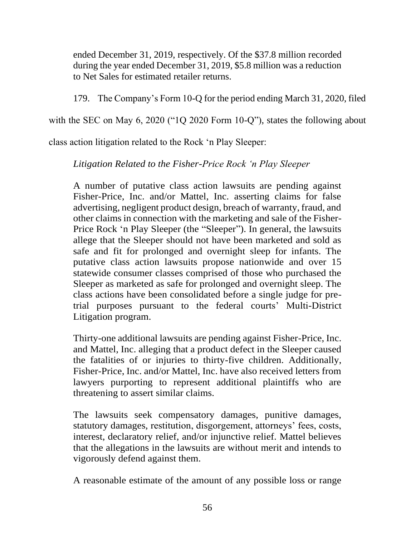ended December 31, 2019, respectively. Of the \$37.8 million recorded during the year ended December 31, 2019, \$5.8 million was a reduction to Net Sales for estimated retailer returns.

179. The Company's Form 10-Q for the period ending March 31, 2020, filed

with the SEC on May 6, 2020 ("1Q 2020 Form 10-Q"), states the following about

class action litigation related to the Rock 'n Play Sleeper:

*Litigation Related to the Fisher-Price Rock 'n Play Sleeper*

A number of putative class action lawsuits are pending against Fisher-Price, Inc. and/or Mattel, Inc. asserting claims for false advertising, negligent product design, breach of warranty, fraud, and other claims in connection with the marketing and sale of the Fisher-Price Rock 'n Play Sleeper (the "Sleeper"). In general, the lawsuits allege that the Sleeper should not have been marketed and sold as safe and fit for prolonged and overnight sleep for infants. The putative class action lawsuits propose nationwide and over 15 statewide consumer classes comprised of those who purchased the Sleeper as marketed as safe for prolonged and overnight sleep. The class actions have been consolidated before a single judge for pretrial purposes pursuant to the federal courts' Multi-District Litigation program.

Thirty-one additional lawsuits are pending against Fisher-Price, Inc. and Mattel, Inc. alleging that a product defect in the Sleeper caused the fatalities of or injuries to thirty-five children. Additionally, Fisher-Price, Inc. and/or Mattel, Inc. have also received letters from lawyers purporting to represent additional plaintiffs who are threatening to assert similar claims.

The lawsuits seek compensatory damages, punitive damages, statutory damages, restitution, disgorgement, attorneys' fees, costs, interest, declaratory relief, and/or injunctive relief. Mattel believes that the allegations in the lawsuits are without merit and intends to vigorously defend against them.

A reasonable estimate of the amount of any possible loss or range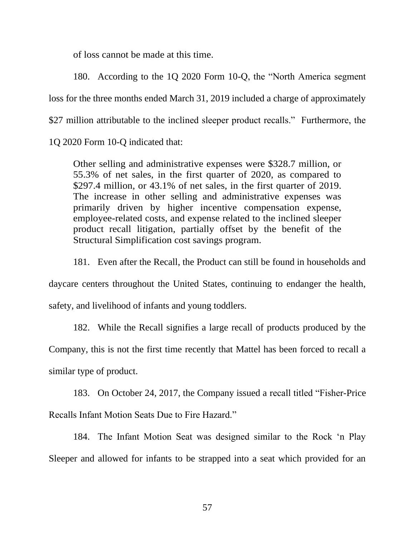of loss cannot be made at this time.

180. According to the 1Q 2020 Form 10-Q, the "North America segment loss for the three months ended March 31, 2019 included a charge of approximately \$27 million attributable to the inclined sleeper product recalls." Furthermore, the

1Q 2020 Form 10-Q indicated that:

Other selling and administrative expenses were \$328.7 million, or 55.3% of net sales, in the first quarter of 2020, as compared to \$297.4 million, or 43.1% of net sales, in the first quarter of 2019. The increase in other selling and administrative expenses was primarily driven by higher incentive compensation expense, employee-related costs, and expense related to the inclined sleeper product recall litigation, partially offset by the benefit of the Structural Simplification cost savings program.

181. Even after the Recall, the Product can still be found in households and daycare centers throughout the United States, continuing to endanger the health, safety, and livelihood of infants and young toddlers.

182. While the Recall signifies a large recall of products produced by the Company, this is not the first time recently that Mattel has been forced to recall a similar type of product.

183. On October 24, 2017, the Company issued a recall titled "Fisher-Price Recalls Infant Motion Seats Due to Fire Hazard."

184. The Infant Motion Seat was designed similar to the Rock 'n Play Sleeper and allowed for infants to be strapped into a seat which provided for an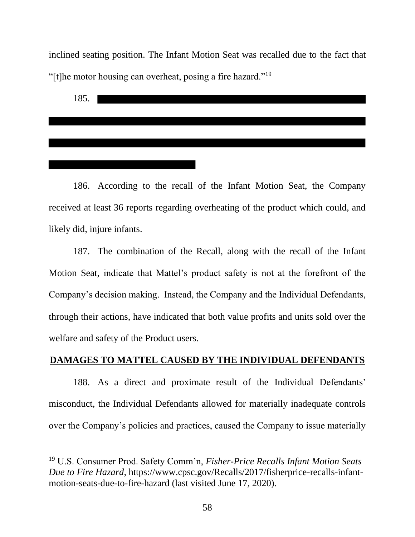inclined seating position. The Infant Motion Seat was recalled due to the fact that "[t]he motor housing can overheat, posing a fire hazard."<sup>19</sup>



186. According to the recall of the Infant Motion Seat, the Company received at least 36 reports regarding overheating of the product which could, and likely did, injure infants.

187. The combination of the Recall, along with the recall of the Infant Motion Seat, indicate that Mattel's product safety is not at the forefront of the Company's decision making. Instead, the Company and the Individual Defendants, through their actions, have indicated that both value profits and units sold over the welfare and safety of the Product users.

# **DAMAGES TO MATTEL CAUSED BY THE INDIVIDUAL DEFENDANTS**

188. As a direct and proximate result of the Individual Defendants' misconduct, the Individual Defendants allowed for materially inadequate controls over the Company's policies and practices, caused the Company to issue materially

<sup>19</sup> U.S. Consumer Prod. Safety Comm'n, *Fisher-Price Recalls Infant Motion Seats Due to Fire Hazard*, https://www.cpsc.gov/Recalls/2017/fisherprice-recalls-infantmotion-seats-due-to-fire-hazard (last visited June 17, 2020).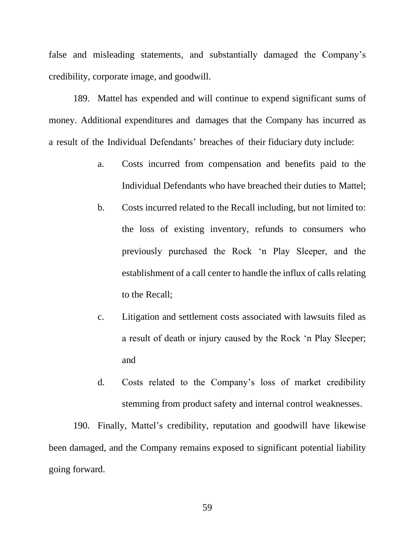false and misleading statements, and substantially damaged the Company's credibility, corporate image, and goodwill.

189. Mattel has expended and will continue to expend significant sums of money. Additional expenditures and damages that the Company has incurred as a result of the Individual Defendants' breaches of their fiduciary duty include:

- a. Costs incurred from compensation and benefits paid to the Individual Defendants who have breached their duties to Mattel;
- b. Costs incurred related to the Recall including, but not limited to: the loss of existing inventory, refunds to consumers who previously purchased the Rock 'n Play Sleeper, and the establishment of a call center to handle the influx of calls relating to the Recall;
- c. Litigation and settlement costs associated with lawsuits filed as a result of death or injury caused by the Rock 'n Play Sleeper; and
- d. Costs related to the Company's loss of market credibility stemming from product safety and internal control weaknesses.

190. Finally, Mattel's credibility, reputation and goodwill have likewise been damaged, and the Company remains exposed to significant potential liability going forward.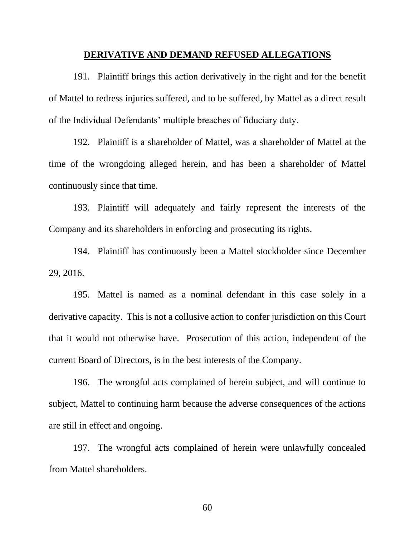#### **DERIVATIVE AND DEMAND REFUSED ALLEGATIONS**

191. Plaintiff brings this action derivatively in the right and for the benefit of Mattel to redress injuries suffered, and to be suffered, by Mattel as a direct result of the Individual Defendants' multiple breaches of fiduciary duty.

192. Plaintiff is a shareholder of Mattel, was a shareholder of Mattel at the time of the wrongdoing alleged herein, and has been a shareholder of Mattel continuously since that time.

193. Plaintiff will adequately and fairly represent the interests of the Company and its shareholders in enforcing and prosecuting its rights.

194. Plaintiff has continuously been a Mattel stockholder since December 29, 2016.

195. Mattel is named as a nominal defendant in this case solely in a derivative capacity. This is not a collusive action to confer jurisdiction on this Court that it would not otherwise have. Prosecution of this action, independent of the current Board of Directors, is in the best interests of the Company.

196. The wrongful acts complained of herein subject, and will continue to subject, Mattel to continuing harm because the adverse consequences of the actions are still in effect and ongoing.

197. The wrongful acts complained of herein were unlawfully concealed from Mattel shareholders.

60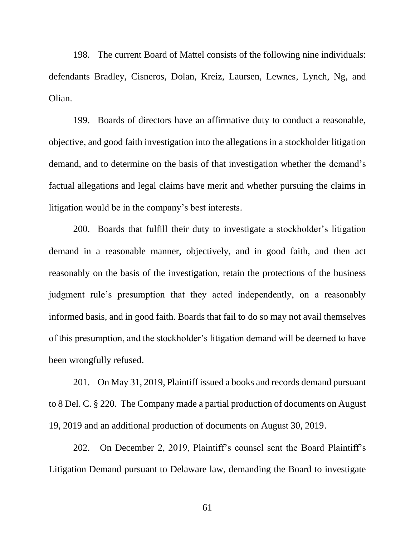198. The current Board of Mattel consists of the following nine individuals: defendants Bradley, Cisneros, Dolan, Kreiz, Laursen, Lewnes, Lynch, Ng, and Olian.

199. Boards of directors have an affirmative duty to conduct a reasonable, objective, and good faith investigation into the allegations in a stockholder litigation demand, and to determine on the basis of that investigation whether the demand's factual allegations and legal claims have merit and whether pursuing the claims in litigation would be in the company's best interests.

200. Boards that fulfill their duty to investigate a stockholder's litigation demand in a reasonable manner, objectively, and in good faith, and then act reasonably on the basis of the investigation, retain the protections of the business judgment rule's presumption that they acted independently, on a reasonably informed basis, and in good faith. Boards that fail to do so may not avail themselves of this presumption, and the stockholder's litigation demand will be deemed to have been wrongfully refused.

201. On May 31, 2019, Plaintiff issued a books and records demand pursuant to 8 Del. C. § 220. The Company made a partial production of documents on August 19, 2019 and an additional production of documents on August 30, 2019.

202. On December 2, 2019, Plaintiff's counsel sent the Board Plaintiff's Litigation Demand pursuant to Delaware law, demanding the Board to investigate

61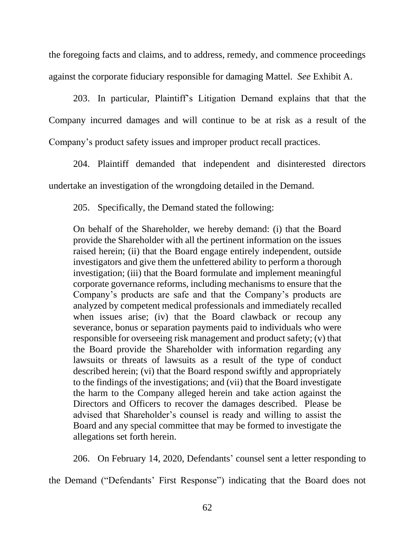the foregoing facts and claims, and to address, remedy, and commence proceedings against the corporate fiduciary responsible for damaging Mattel. *See* Exhibit A.

203. In particular, Plaintiff's Litigation Demand explains that that the Company incurred damages and will continue to be at risk as a result of the Company's product safety issues and improper product recall practices.

204. Plaintiff demanded that independent and disinterested directors undertake an investigation of the wrongdoing detailed in the Demand.

205. Specifically, the Demand stated the following:

On behalf of the Shareholder, we hereby demand: (i) that the Board provide the Shareholder with all the pertinent information on the issues raised herein; (ii) that the Board engage entirely independent, outside investigators and give them the unfettered ability to perform a thorough investigation; (iii) that the Board formulate and implement meaningful corporate governance reforms, including mechanisms to ensure that the Company's products are safe and that the Company's products are analyzed by competent medical professionals and immediately recalled when issues arise; (iv) that the Board clawback or recoup any severance, bonus or separation payments paid to individuals who were responsible for overseeing risk management and product safety; (v) that the Board provide the Shareholder with information regarding any lawsuits or threats of lawsuits as a result of the type of conduct described herein; (vi) that the Board respond swiftly and appropriately to the findings of the investigations; and (vii) that the Board investigate the harm to the Company alleged herein and take action against the Directors and Officers to recover the damages described. Please be advised that Shareholder's counsel is ready and willing to assist the Board and any special committee that may be formed to investigate the allegations set forth herein.

206. On February 14, 2020, Defendants' counsel sent a letter responding to

the Demand ("Defendants' First Response") indicating that the Board does not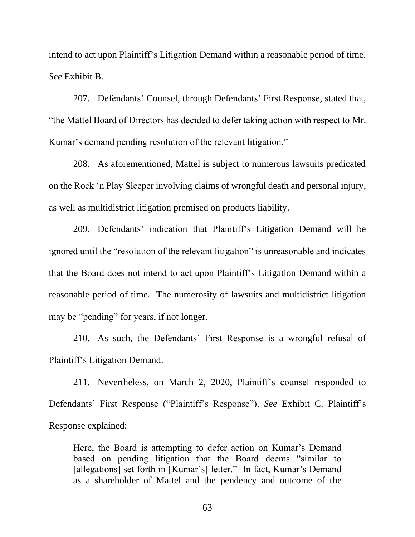intend to act upon Plaintiff's Litigation Demand within a reasonable period of time. *See* Exhibit B.

207. Defendants' Counsel, through Defendants' First Response, stated that, "the Mattel Board of Directors has decided to defer taking action with respect to Mr. Kumar's demand pending resolution of the relevant litigation."

208. As aforementioned, Mattel is subject to numerous lawsuits predicated on the Rock 'n Play Sleeper involving claims of wrongful death and personal injury, as well as multidistrict litigation premised on products liability.

209. Defendants' indication that Plaintiff's Litigation Demand will be ignored until the "resolution of the relevant litigation" is unreasonable and indicates that the Board does not intend to act upon Plaintiff's Litigation Demand within a reasonable period of time. The numerosity of lawsuits and multidistrict litigation may be "pending" for years, if not longer.

210. As such, the Defendants' First Response is a wrongful refusal of Plaintiff's Litigation Demand.

211. Nevertheless, on March 2, 2020, Plaintiff's counsel responded to Defendants' First Response ("Plaintiff's Response"). *See* Exhibit C. Plaintiff's Response explained:

Here, the Board is attempting to defer action on Kumar's Demand based on pending litigation that the Board deems "similar to [allegations] set forth in [Kumar's] letter." In fact, Kumar's Demand as a shareholder of Mattel and the pendency and outcome of the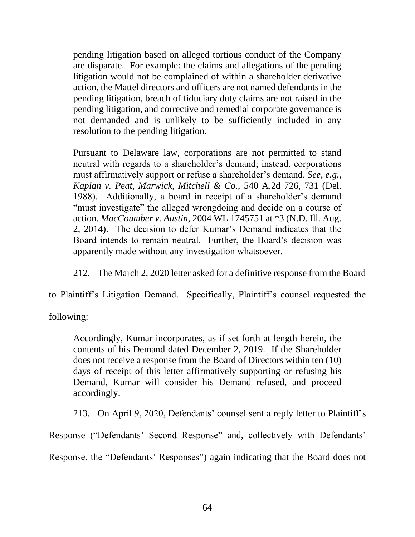pending litigation based on alleged tortious conduct of the Company are disparate. For example: the claims and allegations of the pending litigation would not be complained of within a shareholder derivative action, the Mattel directors and officers are not named defendants in the pending litigation, breach of fiduciary duty claims are not raised in the pending litigation, and corrective and remedial corporate governance is not demanded and is unlikely to be sufficiently included in any resolution to the pending litigation.

Pursuant to Delaware law, corporations are not permitted to stand neutral with regards to a shareholder's demand; instead, corporations must affirmatively support or refuse a shareholder's demand. *See, e.g., Kaplan v. Peat, Marwick, Mitchell & Co.,* 540 A.2d 726, 731 (Del. 1988). Additionally, a board in receipt of a shareholder's demand "must investigate" the alleged wrongdoing and decide on a course of action. *MacCoumber v. Austin*, 2004 WL 1745751 at \*3 (N.D. Ill. Aug. 2, 2014). The decision to defer Kumar's Demand indicates that the Board intends to remain neutral. Further, the Board's decision was apparently made without any investigation whatsoever.

212. The March 2, 2020 letter asked for a definitive response from the Board

to Plaintiff's Litigation Demand. Specifically, Plaintiff's counsel requested the

following:

Accordingly, Kumar incorporates, as if set forth at length herein, the contents of his Demand dated December 2, 2019. If the Shareholder does not receive a response from the Board of Directors within ten (10) days of receipt of this letter affirmatively supporting or refusing his Demand, Kumar will consider his Demand refused, and proceed accordingly.

213. On April 9, 2020, Defendants' counsel sent a reply letter to Plaintiff's

Response ("Defendants' Second Response" and, collectively with Defendants'

Response, the "Defendants' Responses") again indicating that the Board does not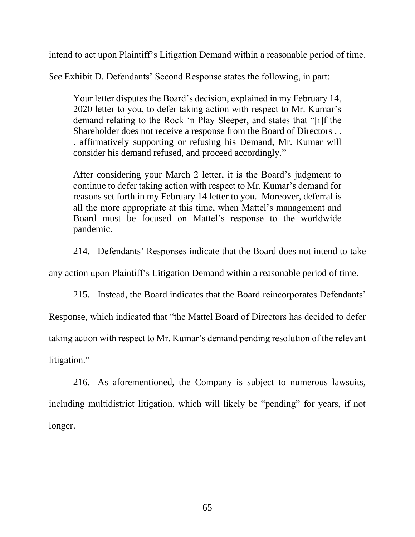intend to act upon Plaintiff's Litigation Demand within a reasonable period of time.

*See* Exhibit D. Defendants' Second Response states the following, in part:

Your letter disputes the Board's decision, explained in my February 14, 2020 letter to you, to defer taking action with respect to Mr. Kumar's demand relating to the Rock 'n Play Sleeper, and states that "[i]f the Shareholder does not receive a response from the Board of Directors . . . affirmatively supporting or refusing his Demand, Mr. Kumar will consider his demand refused, and proceed accordingly."

After considering your March 2 letter, it is the Board's judgment to continue to defer taking action with respect to Mr. Kumar's demand for reasons set forth in my February 14 letter to you. Moreover, deferral is all the more appropriate at this time, when Mattel's management and Board must be focused on Mattel's response to the worldwide pandemic.

214. Defendants' Responses indicate that the Board does not intend to take

any action upon Plaintiff's Litigation Demand within a reasonable period of time.

215. Instead, the Board indicates that the Board reincorporates Defendants'

Response, which indicated that "the Mattel Board of Directors has decided to defer

taking action with respect to Mr. Kumar's demand pending resolution of the relevant

litigation."

216. As aforementioned, the Company is subject to numerous lawsuits, including multidistrict litigation, which will likely be "pending" for years, if not longer.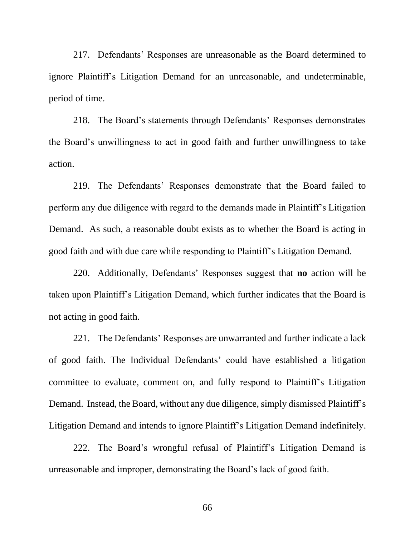217. Defendants' Responses are unreasonable as the Board determined to ignore Plaintiff's Litigation Demand for an unreasonable, and undeterminable, period of time.

218. The Board's statements through Defendants' Responses demonstrates the Board's unwillingness to act in good faith and further unwillingness to take action.

219. The Defendants' Responses demonstrate that the Board failed to perform any due diligence with regard to the demands made in Plaintiff's Litigation Demand. As such, a reasonable doubt exists as to whether the Board is acting in good faith and with due care while responding to Plaintiff's Litigation Demand.

220. Additionally, Defendants' Responses suggest that **no** action will be taken upon Plaintiff's Litigation Demand, which further indicates that the Board is not acting in good faith.

221. The Defendants' Responses are unwarranted and further indicate a lack of good faith. The Individual Defendants' could have established a litigation committee to evaluate, comment on, and fully respond to Plaintiff's Litigation Demand. Instead, the Board, without any due diligence, simply dismissed Plaintiff's Litigation Demand and intends to ignore Plaintiff's Litigation Demand indefinitely.

222. The Board's wrongful refusal of Plaintiff's Litigation Demand is unreasonable and improper, demonstrating the Board's lack of good faith.

66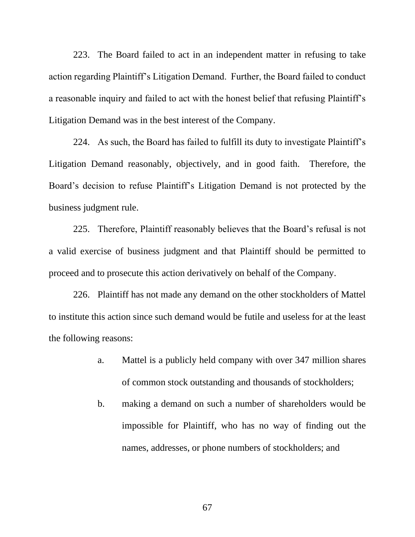223. The Board failed to act in an independent matter in refusing to take action regarding Plaintiff's Litigation Demand. Further, the Board failed to conduct a reasonable inquiry and failed to act with the honest belief that refusing Plaintiff's Litigation Demand was in the best interest of the Company.

224. As such, the Board has failed to fulfill its duty to investigate Plaintiff's Litigation Demand reasonably, objectively, and in good faith. Therefore, the Board's decision to refuse Plaintiff's Litigation Demand is not protected by the business judgment rule.

225. Therefore, Plaintiff reasonably believes that the Board's refusal is not a valid exercise of business judgment and that Plaintiff should be permitted to proceed and to prosecute this action derivatively on behalf of the Company.

226. Plaintiff has not made any demand on the other stockholders of Mattel to institute this action since such demand would be futile and useless for at the least the following reasons:

- a. Mattel is a publicly held company with over 347 million shares of common stock outstanding and thousands of stockholders;
- b. making a demand on such a number of shareholders would be impossible for Plaintiff, who has no way of finding out the names, addresses, or phone numbers of stockholders; and

67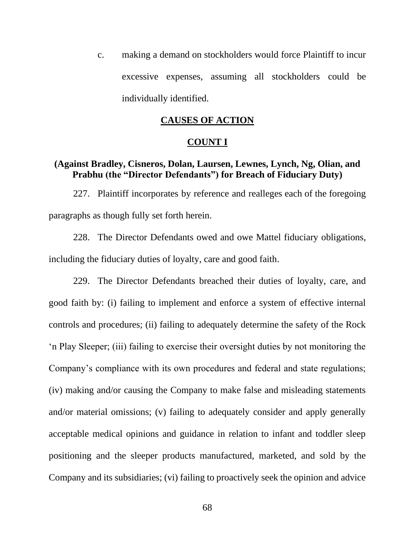c. making a demand on stockholders would force Plaintiff to incur excessive expenses, assuming all stockholders could be individually identified.

## **CAUSES OF ACTION**

#### **COUNT I**

### **(Against Bradley, Cisneros, Dolan, Laursen, Lewnes, Lynch, Ng, Olian, and Prabhu (the "Director Defendants") for Breach of Fiduciary Duty)**

227. Plaintiff incorporates by reference and realleges each of the foregoing paragraphs as though fully set forth herein.

228. The Director Defendants owed and owe Mattel fiduciary obligations, including the fiduciary duties of loyalty, care and good faith.

229. The Director Defendants breached their duties of loyalty, care, and good faith by: (i) failing to implement and enforce a system of effective internal controls and procedures; (ii) failing to adequately determine the safety of the Rock 'n Play Sleeper; (iii) failing to exercise their oversight duties by not monitoring the Company's compliance with its own procedures and federal and state regulations; (iv) making and/or causing the Company to make false and misleading statements and/or material omissions; (v) failing to adequately consider and apply generally acceptable medical opinions and guidance in relation to infant and toddler sleep positioning and the sleeper products manufactured, marketed, and sold by the Company and its subsidiaries; (vi) failing to proactively seek the opinion and advice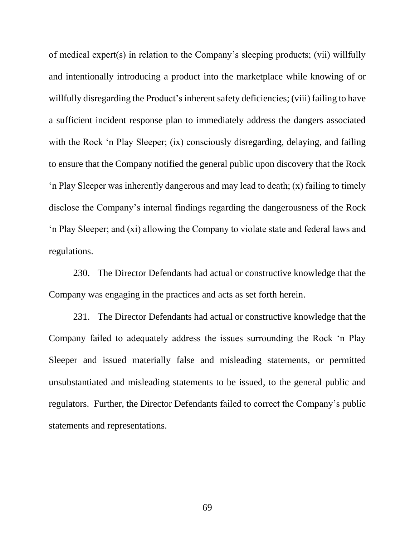of medical expert(s) in relation to the Company's sleeping products; (vii) willfully and intentionally introducing a product into the marketplace while knowing of or willfully disregarding the Product's inherent safety deficiencies; (viii) failing to have a sufficient incident response plan to immediately address the dangers associated with the Rock 'n Play Sleeper; (ix) consciously disregarding, delaying, and failing to ensure that the Company notified the general public upon discovery that the Rock 'n Play Sleeper was inherently dangerous and may lead to death; (x) failing to timely disclose the Company's internal findings regarding the dangerousness of the Rock 'n Play Sleeper; and (xi) allowing the Company to violate state and federal laws and regulations.

230. The Director Defendants had actual or constructive knowledge that the Company was engaging in the practices and acts as set forth herein.

231. The Director Defendants had actual or constructive knowledge that the Company failed to adequately address the issues surrounding the Rock 'n Play Sleeper and issued materially false and misleading statements, or permitted unsubstantiated and misleading statements to be issued, to the general public and regulators. Further, the Director Defendants failed to correct the Company's public statements and representations.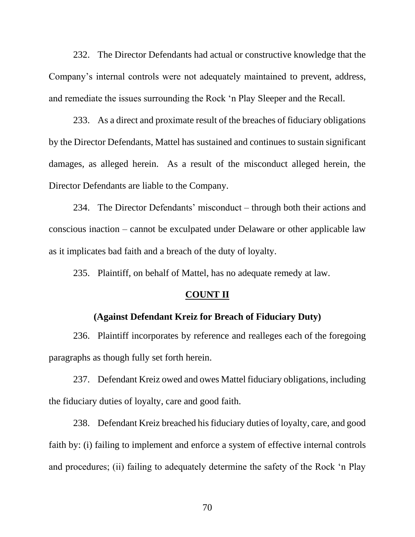232. The Director Defendants had actual or constructive knowledge that the Company's internal controls were not adequately maintained to prevent, address, and remediate the issues surrounding the Rock 'n Play Sleeper and the Recall.

233. As a direct and proximate result of the breaches of fiduciary obligations by the Director Defendants, Mattel has sustained and continues to sustain significant damages, as alleged herein. As a result of the misconduct alleged herein, the Director Defendants are liable to the Company.

234. The Director Defendants' misconduct – through both their actions and conscious inaction – cannot be exculpated under Delaware or other applicable law as it implicates bad faith and a breach of the duty of loyalty.

235. Plaintiff, on behalf of Mattel, has no adequate remedy at law.

#### **COUNT II**

#### **(Against Defendant Kreiz for Breach of Fiduciary Duty)**

236. Plaintiff incorporates by reference and realleges each of the foregoing paragraphs as though fully set forth herein.

237. Defendant Kreiz owed and owes Mattel fiduciary obligations, including the fiduciary duties of loyalty, care and good faith.

238. Defendant Kreiz breached his fiduciary duties of loyalty, care, and good faith by: (i) failing to implement and enforce a system of effective internal controls and procedures; (ii) failing to adequately determine the safety of the Rock 'n Play

70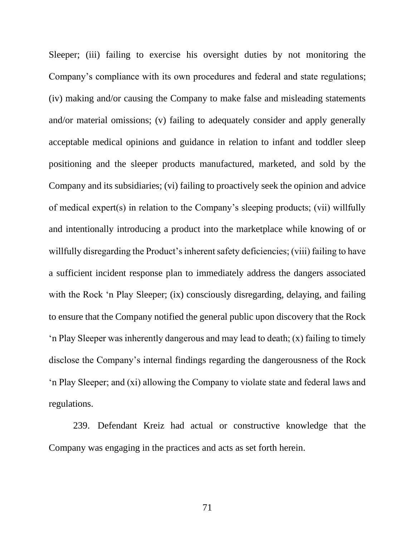Sleeper; (iii) failing to exercise his oversight duties by not monitoring the Company's compliance with its own procedures and federal and state regulations; (iv) making and/or causing the Company to make false and misleading statements and/or material omissions; (v) failing to adequately consider and apply generally acceptable medical opinions and guidance in relation to infant and toddler sleep positioning and the sleeper products manufactured, marketed, and sold by the Company and its subsidiaries; (vi) failing to proactively seek the opinion and advice of medical expert(s) in relation to the Company's sleeping products; (vii) willfully and intentionally introducing a product into the marketplace while knowing of or willfully disregarding the Product's inherent safety deficiencies; (viii) failing to have a sufficient incident response plan to immediately address the dangers associated with the Rock 'n Play Sleeper; (ix) consciously disregarding, delaying, and failing to ensure that the Company notified the general public upon discovery that the Rock 'n Play Sleeper was inherently dangerous and may lead to death; (x) failing to timely disclose the Company's internal findings regarding the dangerousness of the Rock 'n Play Sleeper; and (xi) allowing the Company to violate state and federal laws and regulations.

239. Defendant Kreiz had actual or constructive knowledge that the Company was engaging in the practices and acts as set forth herein.

71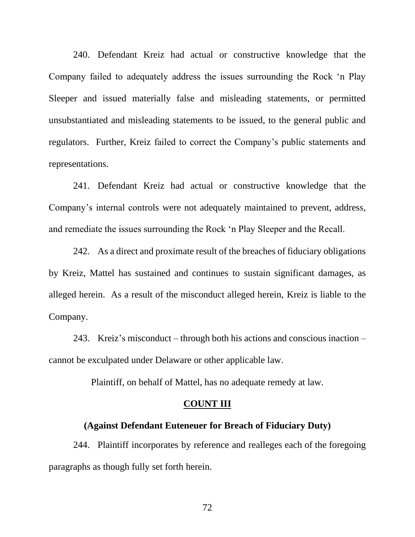240. Defendant Kreiz had actual or constructive knowledge that the Company failed to adequately address the issues surrounding the Rock 'n Play Sleeper and issued materially false and misleading statements, or permitted unsubstantiated and misleading statements to be issued, to the general public and regulators. Further, Kreiz failed to correct the Company's public statements and representations.

241. Defendant Kreiz had actual or constructive knowledge that the Company's internal controls were not adequately maintained to prevent, address, and remediate the issues surrounding the Rock 'n Play Sleeper and the Recall.

242. As a direct and proximate result of the breaches of fiduciary obligations by Kreiz, Mattel has sustained and continues to sustain significant damages, as alleged herein. As a result of the misconduct alleged herein, Kreiz is liable to the Company.

243. Kreiz's misconduct – through both his actions and conscious inaction – cannot be exculpated under Delaware or other applicable law.

Plaintiff, on behalf of Mattel, has no adequate remedy at law.

#### **COUNT III**

## **(Against Defendant Euteneuer for Breach of Fiduciary Duty)**

244. Plaintiff incorporates by reference and realleges each of the foregoing paragraphs as though fully set forth herein.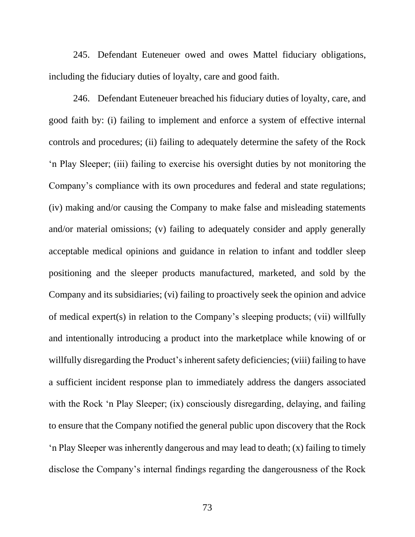245. Defendant Euteneuer owed and owes Mattel fiduciary obligations, including the fiduciary duties of loyalty, care and good faith.

246. Defendant Euteneuer breached his fiduciary duties of loyalty, care, and good faith by: (i) failing to implement and enforce a system of effective internal controls and procedures; (ii) failing to adequately determine the safety of the Rock 'n Play Sleeper; (iii) failing to exercise his oversight duties by not monitoring the Company's compliance with its own procedures and federal and state regulations; (iv) making and/or causing the Company to make false and misleading statements and/or material omissions; (v) failing to adequately consider and apply generally acceptable medical opinions and guidance in relation to infant and toddler sleep positioning and the sleeper products manufactured, marketed, and sold by the Company and its subsidiaries; (vi) failing to proactively seek the opinion and advice of medical expert(s) in relation to the Company's sleeping products; (vii) willfully and intentionally introducing a product into the marketplace while knowing of or willfully disregarding the Product's inherent safety deficiencies; (viii) failing to have a sufficient incident response plan to immediately address the dangers associated with the Rock 'n Play Sleeper; (ix) consciously disregarding, delaying, and failing to ensure that the Company notified the general public upon discovery that the Rock 'n Play Sleeper was inherently dangerous and may lead to death; (x) failing to timely disclose the Company's internal findings regarding the dangerousness of the Rock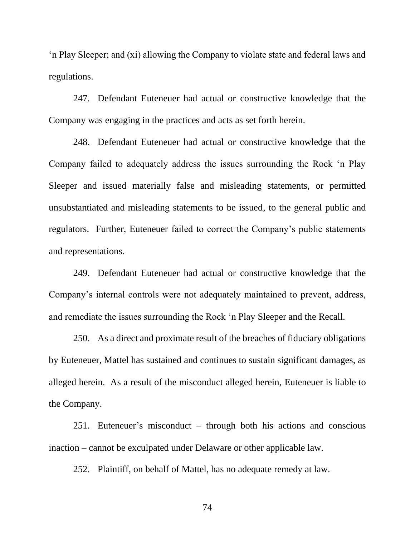'n Play Sleeper; and (xi) allowing the Company to violate state and federal laws and regulations.

247. Defendant Euteneuer had actual or constructive knowledge that the Company was engaging in the practices and acts as set forth herein.

248. Defendant Euteneuer had actual or constructive knowledge that the Company failed to adequately address the issues surrounding the Rock 'n Play Sleeper and issued materially false and misleading statements, or permitted unsubstantiated and misleading statements to be issued, to the general public and regulators. Further, Euteneuer failed to correct the Company's public statements and representations.

249. Defendant Euteneuer had actual or constructive knowledge that the Company's internal controls were not adequately maintained to prevent, address, and remediate the issues surrounding the Rock 'n Play Sleeper and the Recall.

250. As a direct and proximate result of the breaches of fiduciary obligations by Euteneuer, Mattel has sustained and continues to sustain significant damages, as alleged herein. As a result of the misconduct alleged herein, Euteneuer is liable to the Company.

251. Euteneuer's misconduct – through both his actions and conscious inaction – cannot be exculpated under Delaware or other applicable law.

252. Plaintiff, on behalf of Mattel, has no adequate remedy at law.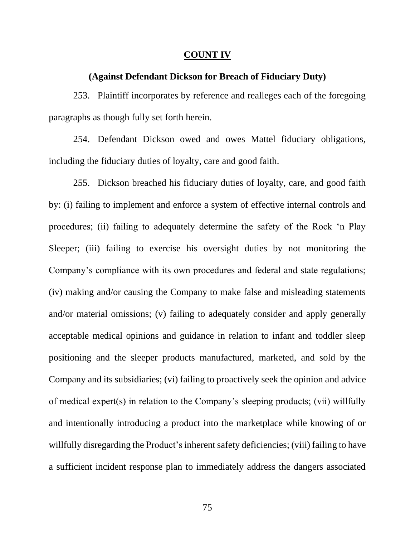#### **COUNT IV**

### **(Against Defendant Dickson for Breach of Fiduciary Duty)**

253. Plaintiff incorporates by reference and realleges each of the foregoing paragraphs as though fully set forth herein.

254. Defendant Dickson owed and owes Mattel fiduciary obligations, including the fiduciary duties of loyalty, care and good faith.

255. Dickson breached his fiduciary duties of loyalty, care, and good faith by: (i) failing to implement and enforce a system of effective internal controls and procedures; (ii) failing to adequately determine the safety of the Rock 'n Play Sleeper; (iii) failing to exercise his oversight duties by not monitoring the Company's compliance with its own procedures and federal and state regulations; (iv) making and/or causing the Company to make false and misleading statements and/or material omissions; (v) failing to adequately consider and apply generally acceptable medical opinions and guidance in relation to infant and toddler sleep positioning and the sleeper products manufactured, marketed, and sold by the Company and its subsidiaries; (vi) failing to proactively seek the opinion and advice of medical expert(s) in relation to the Company's sleeping products; (vii) willfully and intentionally introducing a product into the marketplace while knowing of or willfully disregarding the Product's inherent safety deficiencies; (viii) failing to have a sufficient incident response plan to immediately address the dangers associated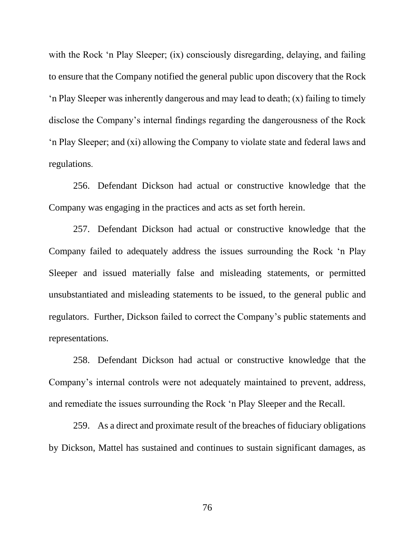with the Rock 'n Play Sleeper; (ix) consciously disregarding, delaying, and failing to ensure that the Company notified the general public upon discovery that the Rock 'n Play Sleeper was inherently dangerous and may lead to death; (x) failing to timely disclose the Company's internal findings regarding the dangerousness of the Rock 'n Play Sleeper; and (xi) allowing the Company to violate state and federal laws and regulations.

256. Defendant Dickson had actual or constructive knowledge that the Company was engaging in the practices and acts as set forth herein.

257. Defendant Dickson had actual or constructive knowledge that the Company failed to adequately address the issues surrounding the Rock 'n Play Sleeper and issued materially false and misleading statements, or permitted unsubstantiated and misleading statements to be issued, to the general public and regulators. Further, Dickson failed to correct the Company's public statements and representations.

258. Defendant Dickson had actual or constructive knowledge that the Company's internal controls were not adequately maintained to prevent, address, and remediate the issues surrounding the Rock 'n Play Sleeper and the Recall.

259. As a direct and proximate result of the breaches of fiduciary obligations by Dickson, Mattel has sustained and continues to sustain significant damages, as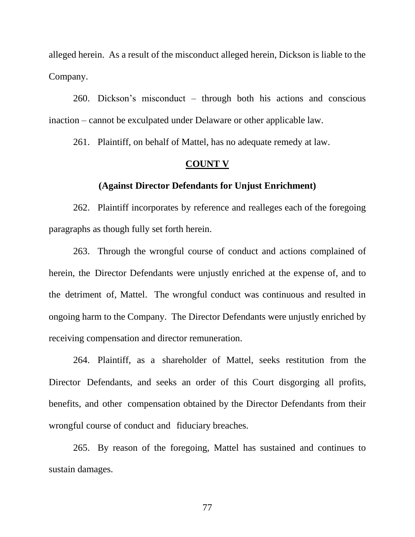alleged herein. As a result of the misconduct alleged herein, Dickson is liable to the Company.

260. Dickson's misconduct – through both his actions and conscious inaction – cannot be exculpated under Delaware or other applicable law.

261. Plaintiff, on behalf of Mattel, has no adequate remedy at law.

## **COUNT V**

#### **(Against Director Defendants for Unjust Enrichment)**

262. Plaintiff incorporates by reference and realleges each of the foregoing paragraphs as though fully set forth herein.

263. Through the wrongful course of conduct and actions complained of herein, the Director Defendants were unjustly enriched at the expense of, and to the detriment of, Mattel. The wrongful conduct was continuous and resulted in ongoing harm to the Company. The Director Defendants were unjustly enriched by receiving compensation and director remuneration.

264. Plaintiff, as a shareholder of Mattel, seeks restitution from the Director Defendants, and seeks an order of this Court disgorging all profits, benefits, and other compensation obtained by the Director Defendants from their wrongful course of conduct and fiduciary breaches.

265. By reason of the foregoing, Mattel has sustained and continues to sustain damages.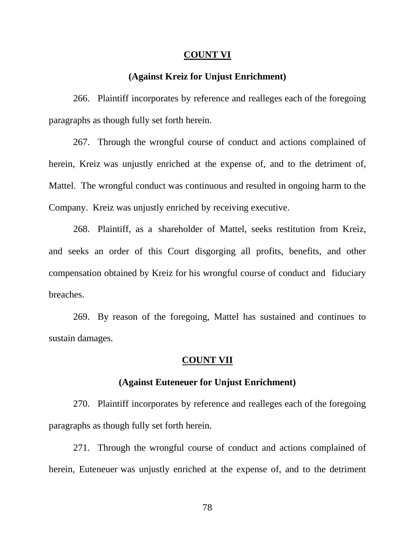#### **COUNT VI**

# **(Against Kreiz for Unjust Enrichment)**

266. Plaintiff incorporates by reference and realleges each of the foregoing paragraphs as though fully set forth herein.

267. Through the wrongful course of conduct and actions complained of herein, Kreiz was unjustly enriched at the expense of, and to the detriment of, Mattel. The wrongful conduct was continuous and resulted in ongoing harm to the Company. Kreiz was unjustly enriched by receiving executive.

268. Plaintiff, as a shareholder of Mattel, seeks restitution from Kreiz, and seeks an order of this Court disgorging all profits, benefits, and other compensation obtained by Kreiz for his wrongful course of conduct and fiduciary breaches.

269. By reason of the foregoing, Mattel has sustained and continues to sustain damages.

#### **COUNT VII**

## **(Against Euteneuer for Unjust Enrichment)**

270. Plaintiff incorporates by reference and realleges each of the foregoing paragraphs as though fully set forth herein.

271. Through the wrongful course of conduct and actions complained of herein, Euteneuer was unjustly enriched at the expense of, and to the detriment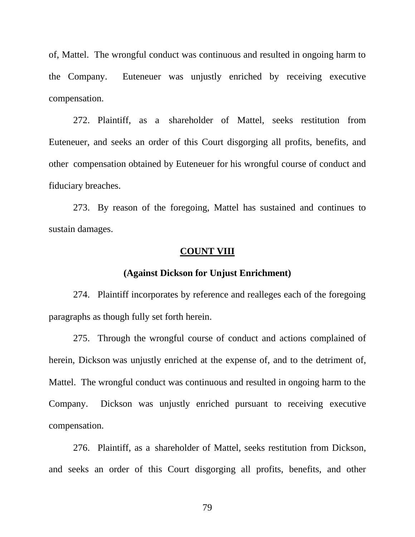of, Mattel. The wrongful conduct was continuous and resulted in ongoing harm to the Company. Euteneuer was unjustly enriched by receiving executive compensation.

272. Plaintiff, as a shareholder of Mattel, seeks restitution from Euteneuer, and seeks an order of this Court disgorging all profits, benefits, and other compensation obtained by Euteneuer for his wrongful course of conduct and fiduciary breaches.

273. By reason of the foregoing, Mattel has sustained and continues to sustain damages.

# **COUNT VIII**

#### **(Against Dickson for Unjust Enrichment)**

274. Plaintiff incorporates by reference and realleges each of the foregoing paragraphs as though fully set forth herein.

275. Through the wrongful course of conduct and actions complained of herein, Dickson was unjustly enriched at the expense of, and to the detriment of, Mattel. The wrongful conduct was continuous and resulted in ongoing harm to the Company. Dickson was unjustly enriched pursuant to receiving executive compensation.

276. Plaintiff, as a shareholder of Mattel, seeks restitution from Dickson, and seeks an order of this Court disgorging all profits, benefits, and other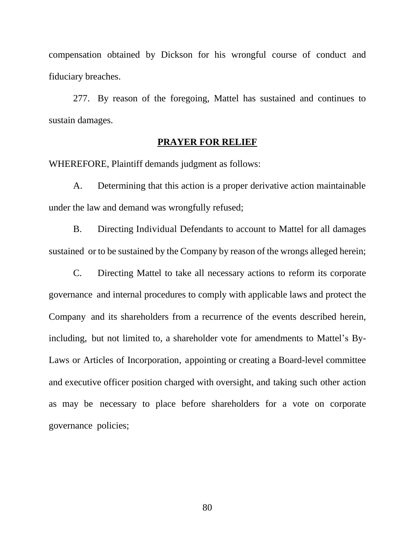compensation obtained by Dickson for his wrongful course of conduct and fiduciary breaches.

277. By reason of the foregoing, Mattel has sustained and continues to sustain damages.

## **PRAYER FOR RELIEF**

WHEREFORE, Plaintiff demands judgment as follows:

A. Determining that this action is a proper derivative action maintainable under the law and demand was wrongfully refused;

B. Directing Individual Defendants to account to Mattel for all damages sustained or to be sustained by the Company by reason of the wrongs alleged herein;

C. Directing Mattel to take all necessary actions to reform its corporate governance and internal procedures to comply with applicable laws and protect the Company and its shareholders from a recurrence of the events described herein, including, but not limited to, a shareholder vote for amendments to Mattel's By-Laws or Articles of Incorporation, appointing or creating a Board-level committee and executive officer position charged with oversight, and taking such other action as may be necessary to place before shareholders for a vote on corporate governance policies;